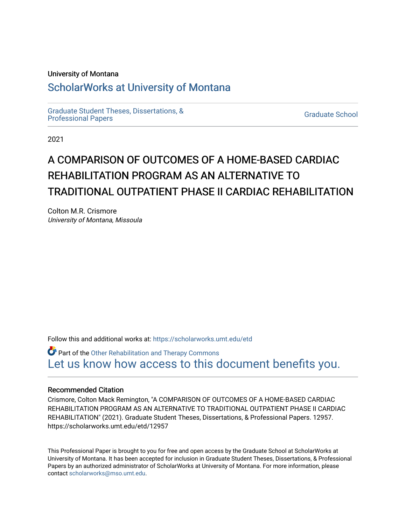### University of Montana

## [ScholarWorks at University of Montana](https://scholarworks.umt.edu/)

[Graduate Student Theses, Dissertations, &](https://scholarworks.umt.edu/etd) Graduate Student Theses, Dissertations, & Contract Control of the Graduate School [Professional Papers](https://scholarworks.umt.edu/etd) Contract Control of the Contract Control of the Contract Control of the Contract Contract Contract Control of the Contra

2021

# A COMPARISON OF OUTCOMES OF A HOME-BASED CARDIAC REHABILITATION PROGRAM AS AN ALTERNATIVE TO TRADITIONAL OUTPATIENT PHASE II CARDIAC REHABILITATION

Colton M.R. Crismore University of Montana, Missoula

Follow this and additional works at: [https://scholarworks.umt.edu/etd](https://scholarworks.umt.edu/etd?utm_source=scholarworks.umt.edu%2Fetd%2F11851&utm_medium=PDF&utm_campaign=PDFCoverPages) 

Part of the [Other Rehabilitation and Therapy Commons](https://network.bepress.com/hgg/discipline/758?utm_source=scholarworks.umt.edu%2Fetd%2F11851&utm_medium=PDF&utm_campaign=PDFCoverPages)  [Let us know how access to this document benefits you.](https://goo.gl/forms/s2rGfXOLzz71qgsB2) 

### Recommended Citation

Crismore, Colton Mack Remington, "A COMPARISON OF OUTCOMES OF A HOME-BASED CARDIAC REHABILITATION PROGRAM AS AN ALTERNATIVE TO TRADITIONAL OUTPATIENT PHASE II CARDIAC REHABILITATION" (2021). Graduate Student Theses, Dissertations, & Professional Papers. 12957. https://scholarworks.umt.edu/etd/12957

This Professional Paper is brought to you for free and open access by the Graduate School at ScholarWorks at University of Montana. It has been accepted for inclusion in Graduate Student Theses, Dissertations, & Professional Papers by an authorized administrator of ScholarWorks at University of Montana. For more information, please contact [scholarworks@mso.umt.edu](mailto:scholarworks@mso.umt.edu).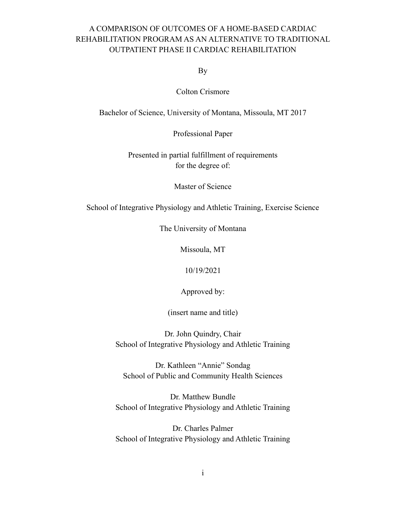## A COMPARISON OF OUTCOMES OF A HOME-BASED CARDIAC REHABILITATION PROGRAM AS AN ALTERNATIVE TO TRADITIONAL OUTPATIENT PHASE II CARDIAC REHABILITATION

By

Colton Crismore

Bachelor of Science, University of Montana, Missoula, MT 2017

Professional Paper

Presented in partial fulfillment of requirements for the degree of:

Master of Science

School of Integrative Physiology and Athletic Training, Exercise Science

The University of Montana

Missoula, MT

10/19/2021

Approved by:

(insert name and title)

Dr. John Quindry, Chair School of Integrative Physiology and Athletic Training

Dr. Kathleen "Annie" Sondag School of Public and Community Health Sciences

Dr. Matthew Bundle School of Integrative Physiology and Athletic Training

Dr. Charles Palmer School of Integrative Physiology and Athletic Training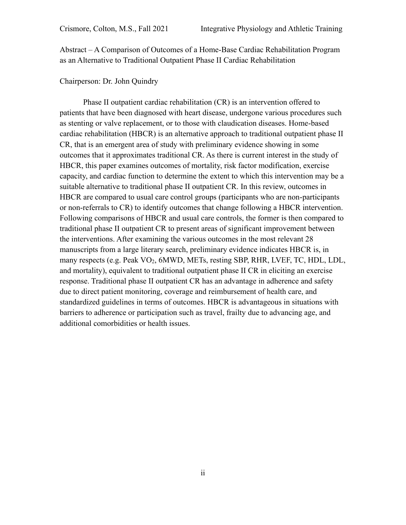Abstract – A Comparison of Outcomes of a Home-Base Cardiac Rehabilitation Program as an Alternative to Traditional Outpatient Phase II Cardiac Rehabilitation

## Chairperson: Dr. John Quindry

Phase II outpatient cardiac rehabilitation (CR) is an intervention offered to patients that have been diagnosed with heart disease, undergone various procedures such as stenting or valve replacement, or to those with claudication diseases. Home-based cardiac rehabilitation (HBCR) is an alternative approach to traditional outpatient phase II CR, that is an emergent area of study with preliminary evidence showing in some outcomes that it approximates traditional CR. As there is current interest in the study of HBCR, this paper examines outcomes of mortality, risk factor modification, exercise capacity, and cardiac function to determine the extent to which this intervention may be a suitable alternative to traditional phase II outpatient CR. In this review, outcomes in HBCR are compared to usual care control groups (participants who are non-participants or non-referrals to CR) to identify outcomes that change following a HBCR intervention. Following comparisons of HBCR and usual care controls, the former is then compared to traditional phase II outpatient CR to present areas of significant improvement between the interventions. After examining the various outcomes in the most relevant 28 manuscripts from a large literary search, preliminary evidence indicates HBCR is, in many respects (e.g. Peak VO<sub>2</sub>, 6MWD, METs, resting SBP, RHR, LVEF, TC, HDL, LDL, and mortality), equivalent to traditional outpatient phase II CR in eliciting an exercise response. Traditional phase II outpatient CR has an advantage in adherence and safety due to direct patient monitoring, coverage and reimbursement of health care, and standardized guidelines in terms of outcomes. HBCR is advantageous in situations with barriers to adherence or participation such as travel, frailty due to advancing age, and additional comorbidities or health issues.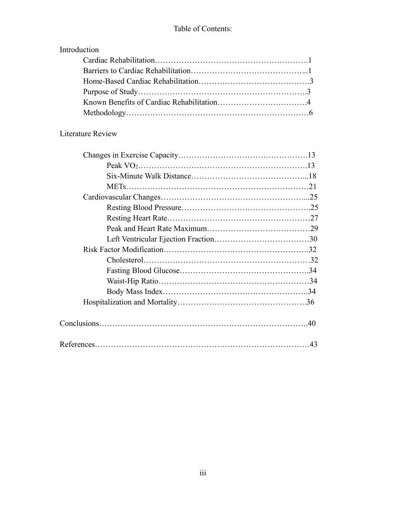## Introduction

## Literature Review

| $Conclusions. \dots 100$ |  |
|--------------------------|--|
|                          |  |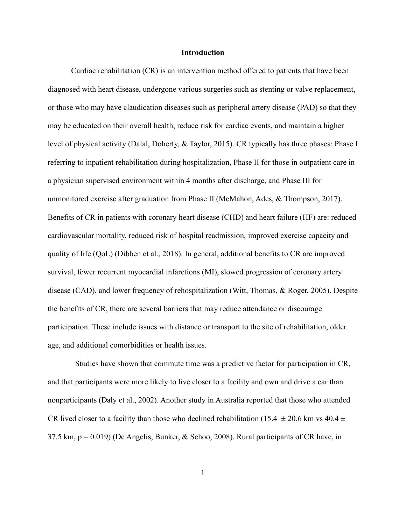### **Introduction**

Cardiac rehabilitation (CR) is an intervention method offered to patients that have been diagnosed with heart disease, undergone various surgeries such as stenting or valve replacement, or those who may have claudication diseases such as peripheral artery disease (PAD) so that they may be educated on their overall health, reduce risk for cardiac events, and maintain a higher level of physical activity (Dalal, Doherty, & Taylor, 2015). CR typically has three phases: Phase I referring to inpatient rehabilitation during hospitalization, Phase II for those in outpatient care in a physician supervised environment within 4 months after discharge, and Phase III for unmonitored exercise after graduation from Phase II (McMahon, Ades, & Thompson, 2017). Benefits of CR in patients with coronary heart disease (CHD) and heart failure (HF) are: reduced cardiovascular mortality, reduced risk of hospital readmission, improved exercise capacity and quality of life (QoL) (Dibben et al., 2018). In general, additional benefits to CR are improved survival, fewer recurrent myocardial infarctions (MI), slowed progression of coronary artery disease (CAD), and lower frequency of rehospitalization (Witt, Thomas, & Roger, 2005). Despite the benefits of CR, there are several barriers that may reduce attendance or discourage participation. These include issues with distance or transport to the site of rehabilitation, older age, and additional comorbidities or health issues.

 Studies have shown that commute time was a predictive factor for participation in CR, and that participants were more likely to live closer to a facility and own and drive a car than nonparticipants (Daly et al., 2002). Another study in Australia reported that those who attended CR lived closer to a facility than those who declined rehabilitation (15.4  $\pm$  20.6 km vs 40.4  $\pm$ 37.5 km,  $p = 0.019$ ) (De Angelis, Bunker, & Schoo, 2008). Rural participants of CR have, in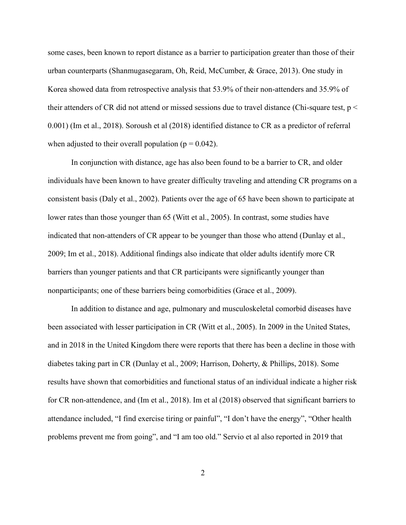some cases, been known to report distance as a barrier to participation greater than those of their urban counterparts (Shanmugasegaram, Oh, Reid, McCumber, & Grace, 2013). One study in Korea showed data from retrospective analysis that 53.9% of their non-attenders and 35.9% of their attenders of CR did not attend or missed sessions due to travel distance (Chi-square test, p < 0.001) (Im et al., 2018). Soroush et al (2018) identified distance to CR as a predictor of referral when adjusted to their overall population ( $p = 0.042$ ).

In conjunction with distance, age has also been found to be a barrier to CR, and older individuals have been known to have greater difficulty traveling and attending CR programs on a consistent basis (Daly et al., 2002). Patients over the age of 65 have been shown to participate at lower rates than those younger than 65 (Witt et al., 2005). In contrast, some studies have indicated that non-attenders of CR appear to be younger than those who attend (Dunlay et al., 2009; Im et al., 2018). Additional findings also indicate that older adults identify more CR barriers than younger patients and that CR participants were significantly younger than nonparticipants; one of these barriers being comorbidities (Grace et al., 2009).

In addition to distance and age, pulmonary and musculoskeletal comorbid diseases have been associated with lesser participation in CR (Witt et al., 2005). In 2009 in the United States, and in 2018 in the United Kingdom there were reports that there has been a decline in those with diabetes taking part in CR (Dunlay et al., 2009; Harrison, Doherty, & Phillips, 2018). Some results have shown that comorbidities and functional status of an individual indicate a higher risk for CR non-attendence, and (Im et al., 2018). Im et al (2018) observed that significant barriers to attendance included, "I find exercise tiring or painful", "I don't have the energy", "Other health problems prevent me from going", and "I am too old." Servio et al also reported in 2019 that

2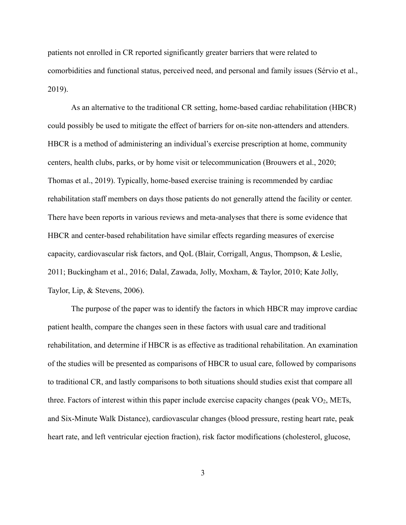patients not enrolled in CR reported significantly greater barriers that were related to comorbidities and functional status, perceived need, and personal and family issues (Sérvio et al., 2019).

As an alternative to the traditional CR setting, home-based cardiac rehabilitation (HBCR) could possibly be used to mitigate the effect of barriers for on-site non-attenders and attenders. HBCR is a method of administering an individual's exercise prescription at home, community centers, health clubs, parks, or by home visit or telecommunication (Brouwers et al., 2020; Thomas et al., 2019). Typically, home-based exercise training is recommended by cardiac rehabilitation staff members on days those patients do not generally attend the facility or center. There have been reports in various reviews and meta-analyses that there is some evidence that HBCR and center-based rehabilitation have similar effects regarding measures of exercise capacity, cardiovascular risk factors, and QoL (Blair, Corrigall, Angus, Thompson, & Leslie, 2011; Buckingham et al., 2016; Dalal, Zawada, Jolly, Moxham, & Taylor, 2010; Kate Jolly, Taylor, Lip, & Stevens, 2006).

The purpose of the paper was to identify the factors in which HBCR may improve cardiac patient health, compare the changes seen in these factors with usual care and traditional rehabilitation, and determine if HBCR is as effective as traditional rehabilitation. An examination of the studies will be presented as comparisons of HBCR to usual care, followed by comparisons to traditional CR, and lastly comparisons to both situations should studies exist that compare all three. Factors of interest within this paper include exercise capacity changes (peak  $VO<sub>2</sub>$ , METs, and Six-Minute Walk Distance), cardiovascular changes (blood pressure, resting heart rate, peak heart rate, and left ventricular ejection fraction), risk factor modifications (cholesterol, glucose,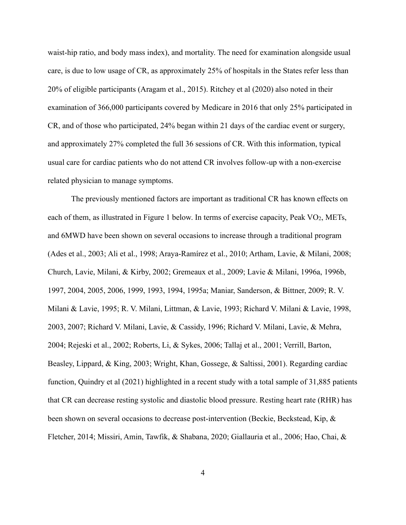waist-hip ratio, and body mass index), and mortality. The need for examination alongside usual care, is due to low usage of CR, as approximately 25% of hospitals in the States refer less than 20% of eligible participants (Aragam et al., 2015). Ritchey et al (2020) also noted in their examination of 366,000 participants covered by Medicare in 2016 that only 25% participated in CR, and of those who participated, 24% began within 21 days of the cardiac event or surgery, and approximately 27% completed the full 36 sessions of CR. With this information, typical usual care for cardiac patients who do not attend CR involves follow-up with a non-exercise related physician to manage symptoms.

The previously mentioned factors are important as traditional CR has known effects on each of them, as illustrated in Figure 1 below. In terms of exercise capacity, Peak  $VO<sub>2</sub>$ , METs, and 6MWD have been shown on several occasions to increase through a traditional program (Ades et al., 2003; Ali et al., 1998; Araya-Ramírez et al., 2010; Artham, Lavie, & Milani, 2008; Church, Lavie, Milani, & Kirby, 2002; Gremeaux et al., 2009; Lavie & Milani, 1996a, 1996b, 1997, 2004, 2005, 2006, 1999, 1993, 1994, 1995a; Maniar, Sanderson, & Bittner, 2009; R. V. Milani & Lavie, 1995; R. V. Milani, Littman, & Lavie, 1993; Richard V. Milani & Lavie, 1998, 2003, 2007; Richard V. Milani, Lavie, & Cassidy, 1996; Richard V. Milani, Lavie, & Mehra, 2004; Rejeski et al., 2002; Roberts, Li, & Sykes, 2006; Tallaj et al., 2001; Verrill, Barton, Beasley, Lippard, & King, 2003; Wright, Khan, Gossege, & Saltissi, 2001). Regarding cardiac function, Quindry et al (2021) highlighted in a recent study with a total sample of 31,885 patients that CR can decrease resting systolic and diastolic blood pressure. Resting heart rate (RHR) has been shown on several occasions to decrease post-intervention (Beckie, Beckstead, Kip, & Fletcher, 2014; Missiri, Amin, Tawfik, & Shabana, 2020; Giallauria et al., 2006; Hao, Chai, &

4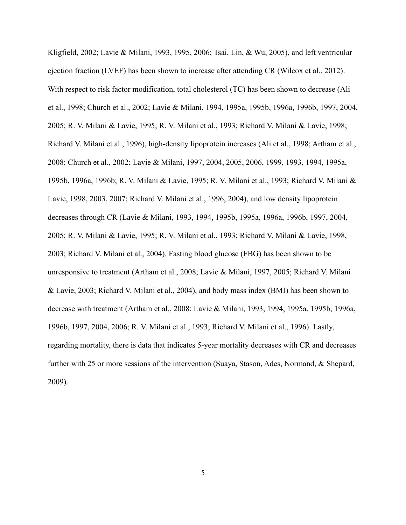Kligfield, 2002; Lavie & Milani, 1993, 1995, 2006; Tsai, Lin, & Wu, 2005), and left ventricular ejection fraction (LVEF) has been shown to increase after attending CR (Wilcox et al., 2012). With respect to risk factor modification, total cholesterol (TC) has been shown to decrease (Ali et al., 1998; Church et al., 2002; Lavie & Milani, 1994, 1995a, 1995b, 1996a, 1996b, 1997, 2004, 2005; R. V. Milani & Lavie, 1995; R. V. Milani et al., 1993; Richard V. Milani & Lavie, 1998; Richard V. Milani et al., 1996), high-density lipoprotein increases (Ali et al., 1998; Artham et al., 2008; Church et al., 2002; Lavie & Milani, 1997, 2004, 2005, 2006, 1999, 1993, 1994, 1995a, 1995b, 1996a, 1996b; R. V. Milani & Lavie, 1995; R. V. Milani et al., 1993; Richard V. Milani & Lavie, 1998, 2003, 2007; Richard V. Milani et al., 1996, 2004), and low density lipoprotein decreases through CR (Lavie & Milani, 1993, 1994, 1995b, 1995a, 1996a, 1996b, 1997, 2004, 2005; R. V. Milani & Lavie, 1995; R. V. Milani et al., 1993; Richard V. Milani & Lavie, 1998, 2003; Richard V. Milani et al., 2004). Fasting blood glucose (FBG) has been shown to be unresponsive to treatment (Artham et al., 2008; Lavie & Milani, 1997, 2005; Richard V. Milani & Lavie, 2003; Richard V. Milani et al., 2004), and body mass index (BMI) has been shown to decrease with treatment (Artham et al., 2008; Lavie & Milani, 1993, 1994, 1995a, 1995b, 1996a, 1996b, 1997, 2004, 2006; R. V. Milani et al., 1993; Richard V. Milani et al., 1996). Lastly, regarding mortality, there is data that indicates 5-year mortality decreases with CR and decreases further with 25 or more sessions of the intervention (Suaya, Stason, Ades, Normand, & Shepard, 2009).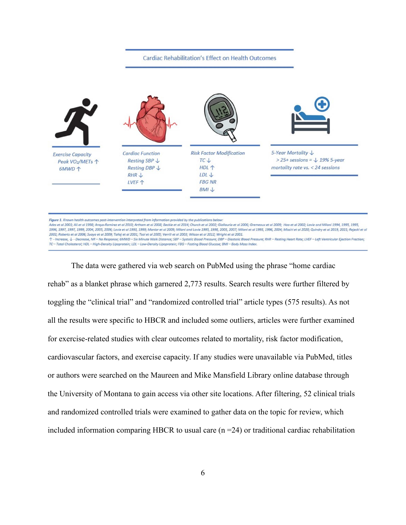#### **Cardiac Rehabilitation's Effect on Health Outcomes**



Figure 1. Known health outcomes post-intervention interpreted from information provided by the publications below

Ades et al 2003: Ali et al 1998: Araya-Ramirez et al 2010: Artham et al 2008: Beckie et al 2014: Church et al 2002: Giallauria et al 2006: Gremeaux et al 2009: Hao et al 2002: Lavie and Milani 1994. 1995. 1995. 1996, 1997, 1997, 1999, 2004, 2005, 2006; Lavie et al 1993, 1999; Maniar et al 2009; Milani and Lavie 1995, 1998, 2003; Milani et al 1993, 1996, 2004; Missiri et al 2020; Quindry et al 2019, 2021; Rejeski et al 2002; Roberts et al 2006; Suaya et al 2009; Tallaj et al 2001; Tsai et al 2005; Verrill et al 2003; Wilcox et al 2012; Wright et al 2001.

↑ - Increase, ↓ - Decrease, NR - No Response; 6MWD - Six Minute Walk Distance; SBP - Systolic Blood Pressure; DBP - Diastolic Blood Pressure; RHR - Resting Heart Rate; LVEF - Left Ventricular Ejection Fraction; TC-Total Cholesterol: HDL-High-Density Lipoprotein: LDL-Low-Density Lipoprotein: FBG-Fasting Blood Glucose: BMI-Body Mass Index

The data were gathered via web search on PubMed using the phrase "home cardiac rehab" as a blanket phrase which garnered 2,773 results. Search results were further filtered by toggling the "clinical trial" and "randomized controlled trial" article types (575 results). As not all the results were specific to HBCR and included some outliers, articles were further examined for exercise-related studies with clear outcomes related to mortality, risk factor modification, cardiovascular factors, and exercise capacity. If any studies were unavailable via PubMed, titles or authors were searched on the Maureen and Mike Mansfield Library online database through the University of Montana to gain access via other site locations. After filtering, 52 clinical trials and randomized controlled trials were examined to gather data on the topic for review, which included information comparing HBCR to usual care  $(n = 24)$  or traditional cardiac rehabilitation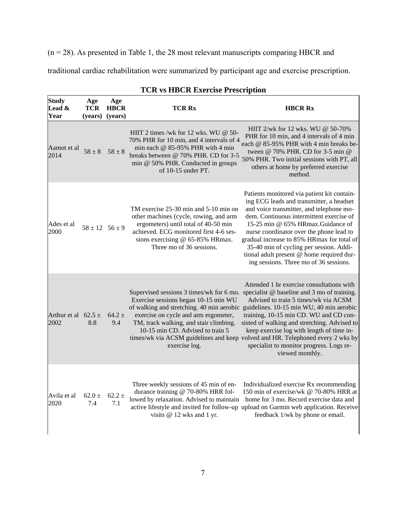(n = 28). As presented in Table 1, the 28 most relevant manuscripts comparing HBCR and

traditional cardiac rehabilitation were summarized by participant age and exercise prescription.

| <b>Study</b><br>Lead &<br>Year  | Age<br>TCR<br>(years)  | Age<br><b>HBCR</b><br>(years) | <b>TCR Rx</b>                                                                                                                                                                                                                     | <b>HBCR Rx</b>                                                                                                                                                                                                                                                                                                                                                                                                                                                                                                                                                 |
|---------------------------------|------------------------|-------------------------------|-----------------------------------------------------------------------------------------------------------------------------------------------------------------------------------------------------------------------------------|----------------------------------------------------------------------------------------------------------------------------------------------------------------------------------------------------------------------------------------------------------------------------------------------------------------------------------------------------------------------------------------------------------------------------------------------------------------------------------------------------------------------------------------------------------------|
| Aamot et al<br>2014             | $58 \pm 8$             | $58 \pm 8$                    | HIIT 2 times /wk for 12 wks. WU @ 50-<br>70% PHR for 10 min, and 4 intervals of 4<br>min each @ 85-95% PHR with 4 min<br>breaks between @ 70% PHR. CD for 3-5<br>min @ 50% PHR. Conducted in groups<br>of $10-15$ under PT.       | HIIT $2$ /wk for 12 wks. WU @ 50-70%<br>PHR for 10 min, and 4 intervals of 4 min<br>each @ 85-95% PHR with 4 min breaks be-<br>tween @ 70% PHR. CD for 3-5 min @<br>50% PHR. Two initial sessions with PT, all<br>others at home by preferred exercise<br>method.                                                                                                                                                                                                                                                                                              |
| Ades et al<br>2000              | $58 \pm 12$ $56 \pm 9$ |                               | TM exercise 25-30 min and 5-10 min on<br>other machines (cycle, rowing, and arm<br>ergometers) until total of 40-50 min<br>achieved. ECG monitored first 4-6 ses-<br>sions exercising @ 65-85% HRmax.<br>Three mo of 36 sessions. | Patients monitored via patient kit contain-<br>ing ECG leads and transmitter, a headset<br>and voice transmitter, and telephone mo-<br>dem. Continuous intermittent exercise of<br>15-25 min @ 65% HRmax.Guidance of<br>nurse coordinator over the phone lead to<br>gradual increase to 85% HRmax for total of<br>35-40 min of cycling per session. Addi-<br>tional adult present @ home required dur-<br>ing sessions. Three mo of 36 sessions.                                                                                                               |
| Arthur et al $62.5 \pm$<br>2002 | 8.8                    | $64.2 \pm$<br>9.4             | Exercise sessions began 10-15 min WU<br>exercise on cycle and arm ergometer,<br>TM, track walking, and stair climbing.<br>10-15 min CD. Advised to train 5<br>exercise log.                                                       | Attended 1 hr exercise consultations with<br>Supervised sessions 3 times/wk for 6 mo. specialist $\omega$ baseline and 3 mo of training.<br>Advised to train 5 times/wk via ACSM<br>of walking and stretching. 40 min aerobic guidelines. 10-15 min WU, 40 min aerobic<br>training, 10-15 min CD. WU and CD con-<br>sisted of walking and stretching. Advised to<br>keep exercise log with length of time in-<br>times/wk via ACSM guidelines and keep volved and HR. Telephoned every 2 wks by<br>specialist to monitor progress. Logs re-<br>viewed monthly. |
| Avila et al<br>2020             | $62.0 \pm$<br>7.4      | $62.2 \pm$<br>7.1             | Three weekly sessions of 45 min of en-<br>durance training @ 70-80% HRR fol-<br>lowed by relaxation. Advised to maintain<br>visits $@ 12$ wks and 1 yr.                                                                           | Individualized exercise Rx recommending<br>150 min of exercise/wk @ 70-80% HRR at<br>home for 3 mo. Record exercise data and<br>active lifestyle and invited for follow-up upload on Garmin web application. Receive<br>feedback 1/wk by phone or email.                                                                                                                                                                                                                                                                                                       |

## **TCR vs HBCR Exercise Prescription**

 $\overline{\phantom{a}}$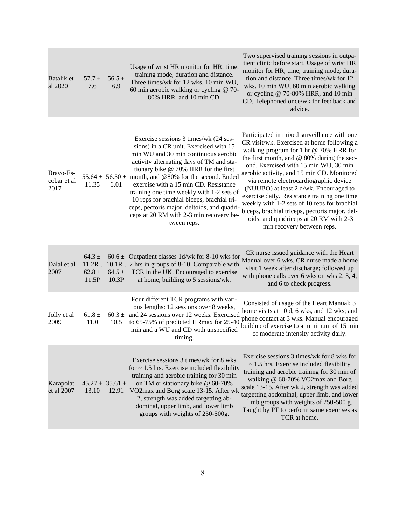| Batalik et<br>al 2020            | $57.7 \pm$<br>7.6                 | $56.5 \pm$<br>6.9              | Usage of wrist HR monitor for HR, time,<br>training mode, duration and distance.<br>Three times/wk for 12 wks. 10 min WU,<br>60 min aerobic walking or cycling @ 70-<br>80% HRR, and 10 min CD.                                                                                                                                                                                                                                                                                                                              | Two supervised training sessions in outpa-<br>tient clinic before start. Usage of wrist HR<br>monitor for HR, time, training mode, dura-<br>tion and distance. Three times/wk for 12<br>wks. 10 min WU, 60 min aerobic walking<br>or cycling @ 70-80% HRR, and 10 min<br>CD. Telephoned once/wk for feedback and<br>advice.                                                                                                                                                                                                                                                               |
|----------------------------------|-----------------------------------|--------------------------------|------------------------------------------------------------------------------------------------------------------------------------------------------------------------------------------------------------------------------------------------------------------------------------------------------------------------------------------------------------------------------------------------------------------------------------------------------------------------------------------------------------------------------|-------------------------------------------------------------------------------------------------------------------------------------------------------------------------------------------------------------------------------------------------------------------------------------------------------------------------------------------------------------------------------------------------------------------------------------------------------------------------------------------------------------------------------------------------------------------------------------------|
| Bravo-Es-<br>cobar et al<br>2017 | 11.35                             | 6.01                           | Exercise sessions 3 times/wk (24 ses-<br>sions) in a CR unit. Exercised with 15<br>min WU and 30 min continuous aerobic<br>activity alternating days of TM and sta-<br>tionary bike $@ 70\%$ HRR for the first<br>55.64 $\pm$ 56.50 $\pm$ month, and @80% for the second. Ended<br>exercise with a 15 min CD. Resistance<br>training one time weekly with 1-2 sets of<br>10 reps for brachial biceps, brachial tri-<br>ceps, pectoris major, deltoids, and quadri-<br>ceps at 20 RM with 2-3 min recovery be-<br>tween reps. | Participated in mixed surveillance with one<br>CR visit/wk. Exercised at home following a<br>walking program for 1 hr $@$ 70% HRR for<br>the first month, and @ 80% during the sec-<br>ond. Exercised with 15 min WU, 30 min<br>aerobic activity, and 15 min CD. Monitored<br>via remote electrocardiographic device<br>(NUUBO) at least 2 d/wk. Encouraged to<br>exercise daily. Resistance training one time<br>weekly with 1-2 sets of 10 reps for brachial<br>biceps, brachial triceps, pectoris major, del-<br>toids, and quadriceps at 20 RM with 2-3<br>min recovery between reps. |
| Dalal et al<br>2007              | $64.3 \pm$<br>$62.8 \pm$<br>11.5P | $64.5 \pm$<br>10.3P            | $60.6 \pm$ Outpatient classes 1d/wk for 8-10 wks for<br>11.2R, 10.1R, 2 hrs in groups of 8-10. Comparable with<br>TCR in the UK. Encouraged to exercise<br>at home, building to 5 sessions/wk.                                                                                                                                                                                                                                                                                                                               | CR nurse issued guidance with the Heart<br>Manual over 6 wks. CR nurse made a home<br>visit 1 week after discharge; followed up<br>with phone calls over 6 wks on wks $2, 3, 4$ ,<br>and 6 to check progress.                                                                                                                                                                                                                                                                                                                                                                             |
| Jolly et al<br>2009              | $61.8 \pm$<br>11.0                | 10.5                           | Four different TCR programs with vari-<br>ous lengths: 12 sessions over 8 weeks,<br>$60.3 \pm$ and 24 sessions over 12 weeks. Exercised<br>to 65-75% of predicted HRmax for 25-40<br>min and a WU and CD with unspecified<br>timing.                                                                                                                                                                                                                                                                                         | Consisted of usage of the Heart Manual; 3<br>home visits at 10 d, 6 wks, and 12 wks; and<br>phone contact at 3 wks. Manual encouraged<br>buildup of exercise to a minimum of 15 min<br>of moderate intensity activity daily.                                                                                                                                                                                                                                                                                                                                                              |
| Karapolat<br>et al 2007          | 13.10                             | $45.27 \pm 35.61 \pm$<br>12.91 | Exercise sessions 3 times/wk for 8 wks<br>for $\sim$ 1.5 hrs. Exercise included flexibility<br>training and aerobic training for 30 min<br>on TM or stationary bike @ 60-70%<br>VO2max and Borg scale 13-15. After wk<br>2, strength was added targetting ab-<br>dominal, upper limb, and lower limb<br>groups with weights of 250-500g.                                                                                                                                                                                     | Exercise sessions 3 times/wk for 8 wks for<br>$\sim$ 1.5 hrs. Exercise included flexibility<br>training and aerobic training for 30 min of<br>walking @ 60-70% VO2max and Borg<br>scale 13-15. After wk 2, strength was added<br>targetting abdominal, upper limb, and lower<br>limb groups with weights of 250-500 g.<br>Taught by PT to perform same exercises as<br>TCR at home.                                                                                                                                                                                                       |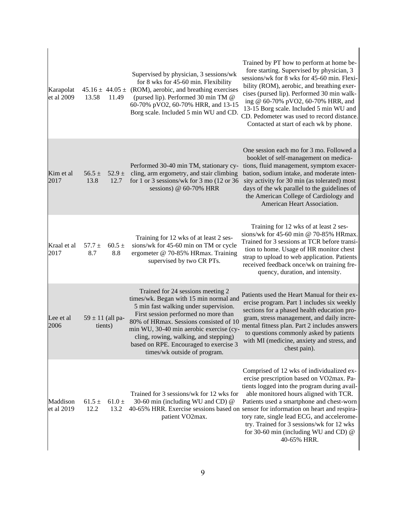| Karapolat<br>et al 2009 | 13.58                           | 11.49              | Supervised by physician, 3 sessions/wk<br>for 8 wks for 45-60 min. Flexibility<br>$45.16 \pm 44.05 \pm$ (ROM), aerobic, and breathing exercises<br>(pursed lip). Performed 30 min TM @<br>60-70% pVO2, 60-70% HRR, and 13-15<br>Borg scale. Included 5 min WU and CD.                                                                                                | Trained by PT how to perform at home be-<br>fore starting. Supervised by physician, 3<br>sessions/wk for 8 wks for 45-60 min. Flexi-<br>bility (ROM), aerobic, and breathing exer-<br>cises (pursed lip). Performed 30 min walk-<br>ing @ 60-70% pVO2, 60-70% HRR, and<br>13-15 Borg scale. Included 5 min WU and<br>CD. Pedometer was used to record distance.<br>Contacted at start of each wk by phone.                                                              |
|-------------------------|---------------------------------|--------------------|----------------------------------------------------------------------------------------------------------------------------------------------------------------------------------------------------------------------------------------------------------------------------------------------------------------------------------------------------------------------|-------------------------------------------------------------------------------------------------------------------------------------------------------------------------------------------------------------------------------------------------------------------------------------------------------------------------------------------------------------------------------------------------------------------------------------------------------------------------|
| Kim et al<br>2017       | 56.5 $\pm$<br>13.8              | $52.9 \pm$<br>12.7 | Performed 30-40 min TM, stationary cy-<br>cling, arm ergometry, and stair climbing<br>for 1 or 3 sessions/wk for 3 mo $(12$ or 36<br>sessions) @ 60-70% HRR                                                                                                                                                                                                          | One session each mo for 3 mo. Followed a<br>booklet of self-management on medica-<br>tions, fluid management, symptom exacer-<br>bation, sodium intake, and moderate inten-<br>sity activity for 30 min (as tolerated) most<br>days of the wk parallel to the guidelines of<br>the American College of Cardiology and<br>American Heart Association.                                                                                                                    |
| Kraal et al<br>2017     | $57.7 \pm$<br>8.7               | $60.5 \pm$<br>8.8  | Training for 12 wks of at least 2 ses-<br>sions/wk for 45-60 min on TM or cycle<br>ergometer @ 70-85% HRmax. Training<br>supervised by two CR PTs.                                                                                                                                                                                                                   | Training for 12 wks of at least 2 ses-<br>sions/wk for 45-60 min @ 70-85% HRmax.<br>Trained for 3 sessions at TCR before transi-<br>tion to home. Usage of HR monitor chest<br>strap to upload to web application. Patients<br>received feedback once/wk on training fre-<br>quency, duration, and intensity.                                                                                                                                                           |
| Lee et al<br>2006       | $59 \pm 11$ (all pa-<br>tients) |                    | Trained for 24 sessions meeting 2<br>times/wk. Began with 15 min normal and<br>5 min fast walking under supervision.<br>First session performed no more than<br>80% of HRmax. Sessions consisted of 10<br>min WU, 30-40 min aerobic exercise (cy-<br>cling, rowing, walking, and stepping)<br>based on RPE. Encouraged to exercise 3<br>times/wk outside of program. | Patients used the Heart Manual for their ex-<br>ercise program. Part 1 includes six weekly<br>sections for a phased health education pro-<br>gram, stress management, and daily incre-<br>mental fitness plan. Part 2 includes answers<br>to questions commonly asked by patients<br>with MI (medicine, anxiety and stress, and<br>chest pain).                                                                                                                         |
| Maddison<br>et al 2019  | $61.5 \pm$<br>12.2              | $61.0 \pm$<br>13.2 | Trained for 3 sessions/wk for 12 wks for<br>30-60 min (including WU and CD) @<br>patient VO2max.                                                                                                                                                                                                                                                                     | Comprised of 12 wks of individualized ex-<br>ercise prescription based on VO2max. Pa-<br>tients logged into the program during avail-<br>able monitored hours aligned with TCR.<br>Patients used a smartphone and chest-worn<br>40-65% HRR. Exercise sessions based on sensor for information on heart and respira-<br>tory rate, single lead ECG, and accelerome-<br>try. Trained for 3 sessions/wk for 12 wks<br>for 30-60 min (including WU and CD) @<br>40-65% HRR. |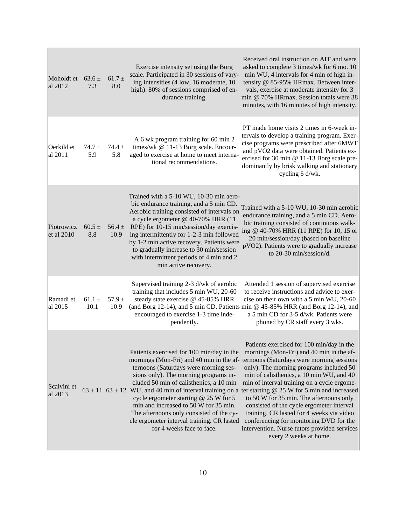| Moholdt et<br>al 2012      | $63.6 \pm$<br>7.3  | $61.7 \pm$<br>8.0  | Exercise intensity set using the Borg<br>scale. Participated in 30 sessions of vary-<br>ing intensities (4 low, 16 moderate, 10<br>high). 80% of sessions comprised of en-<br>durance training.                                                                                                                                                                                                                                                                                                   | Received oral instruction on AIT and were<br>asked to complete 3 times/wk for 6 mo. 10<br>min WU, 4 intervals for 4 min of high in-<br>tensity @ 85-95% HRmax. Between inter-<br>vals, exercise at moderate intensity for 3<br>min @ 70% HRmax. Session totals were 38<br>minutes, with 16 minutes of high intensity.                                                                                                                                                                                                                                                               |
|----------------------------|--------------------|--------------------|---------------------------------------------------------------------------------------------------------------------------------------------------------------------------------------------------------------------------------------------------------------------------------------------------------------------------------------------------------------------------------------------------------------------------------------------------------------------------------------------------|-------------------------------------------------------------------------------------------------------------------------------------------------------------------------------------------------------------------------------------------------------------------------------------------------------------------------------------------------------------------------------------------------------------------------------------------------------------------------------------------------------------------------------------------------------------------------------------|
| Oerkild et<br>al 2011      | $74.7 \pm$<br>5.9  | 74.4 $\pm$<br>5.8  | A 6 wk program training for 60 min 2<br>times/wk @ 11-13 Borg scale. Encour-<br>aged to exercise at home to meet interna-<br>tional recommendations.                                                                                                                                                                                                                                                                                                                                              | PT made home visits 2 times in 6-week in-<br>tervals to develop a training program. Exer-<br>cise programs were prescribed after 6MWT<br>and pVO2 data were obtained. Patients ex-<br>ercised for 30 min @ 11-13 Borg scale pre-<br>dominantly by brisk walking and stationary<br>cycling 6 d/wk.                                                                                                                                                                                                                                                                                   |
| Piotrowicz<br>$et$ al 2010 | $60.5 \pm$<br>8.8  | $56.4 \pm$<br>10.9 | Trained with a 5-10 WU, 10-30 min aero-<br>bic endurance training, and a 5 min CD.<br>Aerobic training consisted of intervals on<br>a cycle ergometer @ 40-70% HRR (11<br>RPE) for 10-15 min/session/day exercis-<br>ing intermittently for 1-2-3 min followed<br>by 1-2 min active recovery. Patients were<br>to gradually increase to 30 min/session<br>with intermittent periods of 4 min and 2<br>min active recovery.                                                                        | Trained with a 5-10 WU, 10-30 min aerobic<br>endurance training, and a 5 min CD. Aero-<br>bic training consisted of continuous walk-<br>ing @ 40-70% HRR (11 RPE) for 10, 15 or<br>20 min/session/day (based on baseline<br>pVO2). Patients were to gradually increase<br>to 20-30 min/session/d.                                                                                                                                                                                                                                                                                   |
| Ramadi et<br>al 2015       | $61.1 \pm$<br>10.1 | $57.9 \pm$<br>10.9 | Supervised training 2-3 d/wk of aerobic<br>training that includes 5 min WU, 20-60<br>steady state exercise @ 45-85% HRR<br>encouraged to exercise 1-3 time inde-<br>pendently.                                                                                                                                                                                                                                                                                                                    | Attended 1 session of supervised exercise<br>to receive instructions and advice to exer-<br>cise on their own with a 5 min WU, 20-60<br>(and Borg 12-14), and 5 min CD. Patients min @ 45-85% HRR (and Borg 12-14), and<br>a 5 min CD for 3-5 d/wk. Patients were<br>phoned by CR staff every 3 wks.                                                                                                                                                                                                                                                                                |
| Scalvini et<br>al 2013     |                    |                    | Patients exercised for 100 min/day in the<br>mornings (Mon-Fri) and 40 min in the af-<br>ternoons (Saturdays were morning ses-<br>sions only). The morning programs in-<br>cluded 50 min of calisthenics, a 10 min<br>$63 \pm 11$ 63 $\pm$ 12 WU, and 40 min of interval training on a<br>cycle ergometer starting $@$ 25 W for 5<br>min and increased to 50 W for 35 min.<br>The afternoons only consisted of the cy-<br>cle ergometer interval training. CR lasted<br>for 4 weeks face to face. | Patients exercised for 100 min/day in the<br>mornings (Mon-Fri) and 40 min in the af-<br>ternoons (Saturdays were morning sessions<br>only). The morning programs included 50<br>min of calisthenics, a 10 min WU, and 40<br>min of interval training on a cycle ergome-<br>ter starting $@$ 25 W for 5 min and increased<br>to 50 W for 35 min. The afternoons only<br>consisted of the cycle ergometer interval<br>training. CR lasted for 4 weeks via video<br>conferencing for monitoring DVD for the<br>intervention. Nurse tutors provided services<br>every 2 weeks at home. |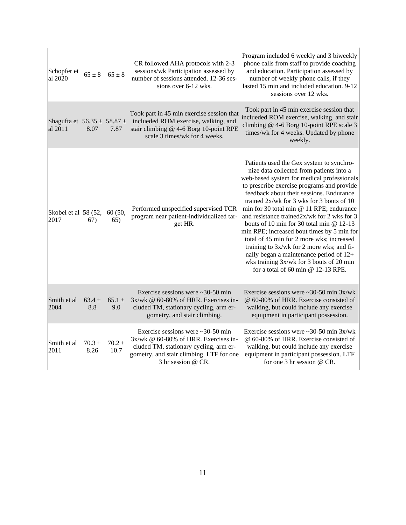| Schopfer et<br>al 2020                         | $65 \pm 8$         | $65 \pm 8$         | CR followed AHA protocols with 2-3<br>sessions/wk Participation assessed by<br>number of sessions attended. 12-36 ses-<br>sions over 6-12 wks.                                                  | Program included 6 weekly and 3 biweekly<br>phone calls from staff to provide coaching<br>and education. Participation assessed by<br>number of weekly phone calls, if they<br>lasted 15 min and included education. 9-12<br>sessions over 12 wks.                                                                                                                                                                                                                                                                                                                                                                                                                                        |
|------------------------------------------------|--------------------|--------------------|-------------------------------------------------------------------------------------------------------------------------------------------------------------------------------------------------|-------------------------------------------------------------------------------------------------------------------------------------------------------------------------------------------------------------------------------------------------------------------------------------------------------------------------------------------------------------------------------------------------------------------------------------------------------------------------------------------------------------------------------------------------------------------------------------------------------------------------------------------------------------------------------------------|
| Shagufta et $56.35 \pm 58.87 \pm 1$<br>al 2011 | 8.07               | 7.87               | Took part in 45 min exercise session that<br>inclueded ROM exercise, walking, and<br>stair climbing @ 4-6 Borg 10-point RPE<br>scale 3 times/wk for 4 weeks.                                    | Took part in 45 min exercise session that<br>inclueded ROM exercise, walking, and stair<br>climbing @ 4-6 Borg 10-point RPE scale 3<br>times/wk for 4 weeks. Updated by phone<br>weekly.                                                                                                                                                                                                                                                                                                                                                                                                                                                                                                  |
| Skobel et al 58 (52,<br>2017                   | 67)                | 60 (50,<br>65)     | Performed unspecified supervised TCR<br>program near patient-individualized tar-<br>get HR.                                                                                                     | Patients used the Gex system to synchro-<br>nize data collected from patients into a<br>web-based system for medical professionals<br>to prescribe exercise programs and provide<br>feedback about their sessions. Endurance<br>trained $2x/wk$ for 3 wks for 3 bouts of 10<br>min for 30 total min @ 11 RPE; endurance<br>and resistance trained2x/wk for 2 wks for 3<br>bouts of 10 min for 30 total min @ 12-13<br>min RPE; increased bout times by 5 min for<br>total of 45 min for 2 more wks; increased<br>training to 3x/wk for 2 more wks; and fi-<br>nally began a maintenance period of 12+<br>wks training 3x/wk for 3 bouts of 20 min<br>for a total of 60 min $@$ 12-13 RPE. |
| Smith et al<br>2004                            | $63.4 \pm$<br>8.8  | $65.1 \pm$<br>9.0  | Exercise sessions were $\sim$ 30-50 min<br>3x/wk @ 60-80% of HRR. Exercises in-<br>cluded TM, stationary cycling, arm er-<br>gometry, and stair climbing.                                       | Exercise sessions were $\approx 30-50$ min 3x/wk<br>@ 60-80% of HRR. Exercise consisted of<br>walking, but could include any exercise<br>equipment in participant possession.                                                                                                                                                                                                                                                                                                                                                                                                                                                                                                             |
| Smith et al<br>2011                            | $70.3 \pm$<br>8.26 | $70.2 \pm$<br>10.7 | Exercise sessions were $\sim$ 30-50 min<br>$3x/wk \& 60-80\%$ of HRR. Exercises in-<br>cluded TM, stationary cycling, arm er-<br>gometry, and stair climbing. LTF for one<br>3 hr session @ CR. | Exercise sessions were $\sim$ 30-50 min 3x/wk<br>@ 60-80% of HRR. Exercise consisted of<br>walking, but could include any exercise<br>equipment in participant possession. LTF<br>for one 3 hr session @ CR.                                                                                                                                                                                                                                                                                                                                                                                                                                                                              |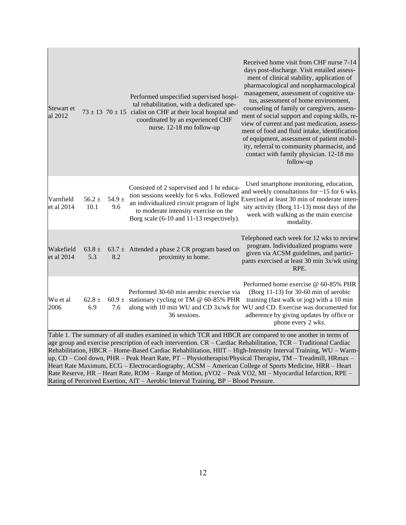| Stewart et<br>al 2012   |                    |                   | Performed unspecified supervised hospi-<br>tal rehabilitation, with a dedicated spe-<br>$73 \pm 13$ 70 $\pm 15$ cialist on CHF at their local hospital and<br>coordinated by an experienced CHF<br>nurse. 12-18 mo follow-up                                                                                                             | Received home visit from CHF nurse 7-14<br>days post-discharge. Visit entailed assess-<br>ment of clinical stability, application of<br>pharmacological and nonpharmacological<br>management, assessment of cognitive sta-<br>tus, assessment of home environment,<br>counseling of family or caregivers, assess-<br>ment of social support and coping skills, re-<br>view of current and past medication, assess-<br>ment of food and fluid intake, identification<br>of equipment, assessment of patient mobil-<br>ity, referral to community pharmacist, and<br>contact with family physician. 12-18 mo<br>follow-up |
|-------------------------|--------------------|-------------------|------------------------------------------------------------------------------------------------------------------------------------------------------------------------------------------------------------------------------------------------------------------------------------------------------------------------------------------|-------------------------------------------------------------------------------------------------------------------------------------------------------------------------------------------------------------------------------------------------------------------------------------------------------------------------------------------------------------------------------------------------------------------------------------------------------------------------------------------------------------------------------------------------------------------------------------------------------------------------|
| Varnfield<br>et al 2014 | $56.2 \pm$<br>10.1 | 54.9 $\pm$<br>9.6 | Consisted of 2 supervised and 1 hr educa-<br>tion sessions weekly for 6 wks. Followed<br>an individualized circuit program of light<br>to moderate intensity exercise on the<br>Borg scale (6-10 and 11-13 respectively).                                                                                                                | Used smartphone monitoring, education,<br>and weekly consultations for ~15 for 6 wks.<br>Exercised at least 30 min of moderate inten-<br>sity activity (Borg 11-13) most days of the<br>week with walking as the main exercise<br>modality.                                                                                                                                                                                                                                                                                                                                                                             |
| Wakefield<br>et al 2014 | $63.8 \pm$<br>5.3  | 8.2               | 63.7 $\pm$ Attended a phase 2 CR program based on<br>proximity to home.                                                                                                                                                                                                                                                                  | Telephoned each week for 12 wks to review<br>program. Individualized programs were<br>given via ACSM guidelines, and partici-<br>pants exercised at least 30 min 3x/wk using<br>RPE.                                                                                                                                                                                                                                                                                                                                                                                                                                    |
| Wu et al<br>2006        | $62.8 \pm$<br>6.9  | 7.6               | Performed 30-60 min aerobic exercise via<br>60.9 $\pm$ stationary cycling or TM @ 60-85% PHR<br>36 sessions.                                                                                                                                                                                                                             | Performed home exercise @ 60-85% PHR<br>(Borg 11-13) for 30-60 min of aerobic<br>training (fast walk or jog) with a 10 min<br>along with 10 min WU and CD 3x/wk for WU and CD. Exercise was documented for<br>adherence by giving updates by office or<br>phone every 2 wks.                                                                                                                                                                                                                                                                                                                                            |
|                         |                    |                   | Table 1. The summary of all studies examined in which TCR and HBCR are compared to one another in terms of<br>age group and exercise prescription of each intervention. CR - Cardiac Rehabilitation, TCR - Traditional Cardiac<br>Heart Rate Maximum, ECG – Electrocardiography, ACSM – American College of Sports Medicine, HRR – Heart | Rehabilitation, HBCR – Home-Based Cardiac Rehabilitation, HIIT – High-Intensity Interval Training, WU – Warm-<br>up, CD – Cool down, PHR – Peak Heart Rate, PT – Physiotherapist/Physical Therapist, TM – Treadmill, HRmax –                                                                                                                                                                                                                                                                                                                                                                                            |

Rate Reserve, HR – Heart Rate, ROM – Range of Motion, pVO2 – Peak VO2, MI – Myocardial Infarction, RPE –

Rating of Perceived Exertion, AIT – Aerobic Interval Training, BP – Blood Pressure.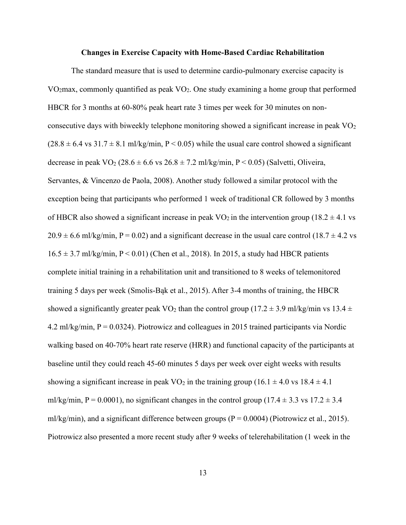#### **Changes in Exercise Capacity with Home-Based Cardiac Rehabilitation**

The standard measure that is used to determine cardio-pulmonary exercise capacity is VO<sub>2</sub>max, commonly quantified as peak  $VO<sub>2</sub>$ . One study examining a home group that performed HBCR for 3 months at 60-80% peak heart rate 3 times per week for 30 minutes on nonconsecutive days with biweekly telephone monitoring showed a significant increase in peak  $VO<sub>2</sub>$  $(28.8 \pm 6.4 \text{ vs } 31.7 \pm 8.1 \text{ m}$ /kg/min, P < 0.05) while the usual care control showed a significant decrease in peak VO<sub>2</sub> (28.6  $\pm$  6.6 vs 26.8  $\pm$  7.2 ml/kg/min, P < 0.05) (Salvetti, Oliveira, Servantes, & Vincenzo de Paola, 2008). Another study followed a similar protocol with the exception being that participants who performed 1 week of traditional CR followed by 3 months of HBCR also showed a significant increase in peak  $VO<sub>2</sub>$  in the intervention group (18.2  $\pm$  4.1 vs  $20.9 \pm 6.6$  ml/kg/min, P = 0.02) and a significant decrease in the usual care control (18.7  $\pm$  4.2 vs  $16.5 \pm 3.7$  ml/kg/min, P < 0.01) (Chen et al., 2018). In 2015, a study had HBCR patients complete initial training in a rehabilitation unit and transitioned to 8 weeks of telemonitored training 5 days per week (Smolis-Bąk et al., 2015). After 3-4 months of training, the HBCR showed a significantly greater peak VO<sub>2</sub> than the control group (17.2  $\pm$  3.9 ml/kg/min vs 13.4  $\pm$ 4.2 ml/kg/min,  $P = 0.0324$ ). Piotrowicz and colleagues in 2015 trained participants via Nordic walking based on 40-70% heart rate reserve (HRR) and functional capacity of the participants at baseline until they could reach 45-60 minutes 5 days per week over eight weeks with results showing a significant increase in peak VO<sub>2</sub> in the training group (16.1  $\pm$  4.0 vs 18.4  $\pm$  4.1 ml/kg/min,  $P = 0.0001$ ), no significant changes in the control group (17.4  $\pm$  3.3 vs 17.2  $\pm$  3.4 ml/kg/min), and a significant difference between groups ( $P = 0.0004$ ) (Piotrowicz et al., 2015). Piotrowicz also presented a more recent study after 9 weeks of telerehabilitation (1 week in the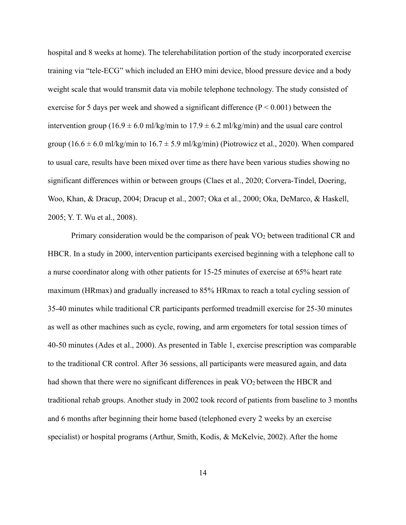hospital and 8 weeks at home). The telerehabilitation portion of the study incorporated exercise training via "tele-ECG" which included an EHO mini device, blood pressure device and a body weight scale that would transmit data via mobile telephone technology. The study consisted of exercise for 5 days per week and showed a significant difference  $(P < 0.001)$  between the intervention group (16.9  $\pm$  6.0 ml/kg/min to 17.9  $\pm$  6.2 ml/kg/min) and the usual care control group (16.6  $\pm$  6.0 ml/kg/min to 16.7  $\pm$  5.9 ml/kg/min) (Piotrowicz et al., 2020). When compared to usual care, results have been mixed over time as there have been various studies showing no significant differences within or between groups (Claes et al., 2020; Corvera-Tindel, Doering, Woo, Khan, & Dracup, 2004; Dracup et al., 2007; Oka et al., 2000; Oka, DeMarco, & Haskell, 2005; Y. T. Wu et al., 2008).

Primary consideration would be the comparison of peak VO<sub>2</sub> between traditional CR and HBCR. In a study in 2000, intervention participants exercised beginning with a telephone call to a nurse coordinator along with other patients for 15-25 minutes of exercise at 65% heart rate maximum (HRmax) and gradually increased to 85% HRmax to reach a total cycling session of 35-40 minutes while traditional CR participants performed treadmill exercise for 25-30 minutes as well as other machines such as cycle, rowing, and arm ergometers for total session times of 40-50 minutes (Ades et al., 2000). As presented in Table 1, exercise prescription was comparable to the traditional CR control. After 36 sessions, all participants were measured again, and data had shown that there were no significant differences in peak  $VO<sub>2</sub>$  between the HBCR and traditional rehab groups. Another study in 2002 took record of patients from baseline to 3 months and 6 months after beginning their home based (telephoned every 2 weeks by an exercise specialist) or hospital programs (Arthur, Smith, Kodis, & McKelvie, 2002). After the home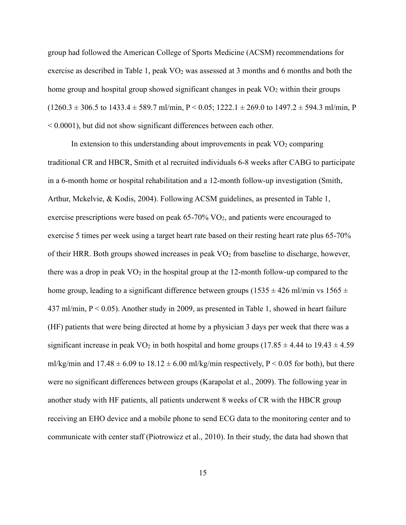group had followed the American College of Sports Medicine (ACSM) recommendations for exercise as described in Table 1, peak  $VO<sub>2</sub>$  was assessed at 3 months and 6 months and both the home group and hospital group showed significant changes in peak  $VO<sub>2</sub>$  within their groups  $(1260.3 \pm 306.5 \text{ to } 1433.4 \pm 589.7 \text{ m} \times 0.05; 1222.1 \pm 269.0 \text{ to } 1497.2 \pm 594.3 \text{ m} \times 0.05; 1222.1 \pm 269.0 \text{ to } 1497.2 \pm 594.3 \text{ m} \times 0.005; 1222.1 \pm 269.0 \text{ to } 1497.2 \pm 594.3 \text{ m} \times 0.005; 1222.1 \pm 269.0 \text{ to } 1497.$ < 0.0001), but did not show significant differences between each other.

In extension to this understanding about improvements in peak  $VO<sub>2</sub>$  comparing traditional CR and HBCR, Smith et al recruited individuals 6-8 weeks after CABG to participate in a 6-month home or hospital rehabilitation and a 12-month follow-up investigation (Smith, Arthur, Mckelvie, & Kodis, 2004). Following ACSM guidelines, as presented in Table 1, exercise prescriptions were based on peak  $65-70\%$  VO<sub>2</sub>, and patients were encouraged to exercise 5 times per week using a target heart rate based on their resting heart rate plus 65-70% of their HRR. Both groups showed increases in peak  $VO<sub>2</sub>$  from baseline to discharge, however, there was a drop in peak  $VO<sub>2</sub>$  in the hospital group at the 12-month follow-up compared to the home group, leading to a significant difference between groups (1535  $\pm$  426 ml/min vs 1565  $\pm$ 437 ml/min,  $P < 0.05$ ). Another study in 2009, as presented in Table 1, showed in heart failure (HF) patients that were being directed at home by a physician 3 days per week that there was a significant increase in peak VO<sub>2</sub> in both hospital and home groups (17.85  $\pm$  4.44 to 19.43  $\pm$  4.59 ml/kg/min and  $17.48 \pm 6.09$  to  $18.12 \pm 6.00$  ml/kg/min respectively, P < 0.05 for both), but there were no significant differences between groups (Karapolat et al., 2009). The following year in another study with HF patients, all patients underwent 8 weeks of CR with the HBCR group receiving an EHO device and a mobile phone to send ECG data to the monitoring center and to communicate with center staff (Piotrowicz et al., 2010). In their study, the data had shown that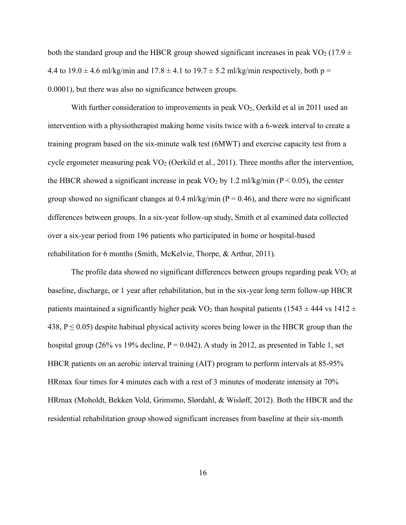both the standard group and the HBCR group showed significant increases in peak VO<sub>2</sub> (17.9  $\pm$ ) 4.4 to  $19.0 \pm 4.6$  ml/kg/min and  $17.8 \pm 4.1$  to  $19.7 \pm 5.2$  ml/kg/min respectively, both p = 0.0001), but there was also no significance between groups.

With further consideration to improvements in peak  $VO<sub>2</sub>$ , Oerkild et al in 2011 used an intervention with a physiotherapist making home visits twice with a 6-week interval to create a training program based on the six-minute walk test (6MWT) and exercise capacity test from a cycle ergometer measuring peak  $VO<sub>2</sub>$  (Oerkild et al., 2011). Three months after the intervention, the HBCR showed a significant increase in peak VO<sub>2</sub> by 1.2 ml/kg/min ( $P < 0.05$ ), the center group showed no significant changes at 0.4 ml/kg/min ( $P = 0.46$ ), and there were no significant differences between groups. In a six-year follow-up study, Smith et al examined data collected over a six-year period from 196 patients who participated in home or hospital-based rehabilitation for 6 months (Smith, McKelvie, Thorpe, & Arthur, 2011).

The profile data showed no significant differences between groups regarding peak  $\rm VO_2$  at baseline, discharge, or 1 year after rehabilitation, but in the six-year long term follow-up HBCR patients maintained a significantly higher peak VO<sub>2</sub> than hospital patients (1543  $\pm$  444 vs 1412  $\pm$ 438,  $P \le 0.05$ ) despite habitual physical activity scores being lower in the HBCR group than the hospital group (26% vs 19% decline,  $P = 0.042$ ). A study in 2012, as presented in Table 1, set HBCR patients on an aerobic interval training (AIT) program to perform intervals at 85-95% HRmax four times for 4 minutes each with a rest of 3 minutes of moderate intensity at 70% HRmax (Moholdt, Bekken Vold, Grimsmo, Slørdahl, & Wisløff, 2012). Both the HBCR and the residential rehabilitation group showed significant increases from baseline at their six-month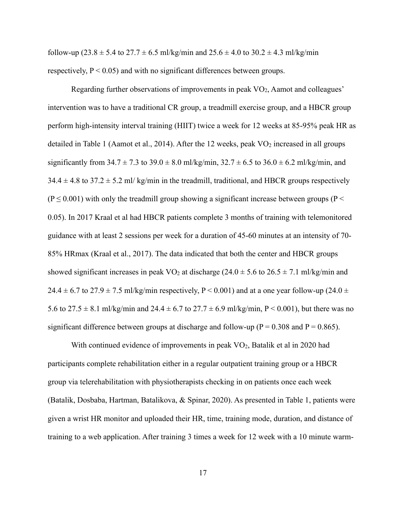follow-up (23.8  $\pm$  5.4 to 27.7  $\pm$  6.5 ml/kg/min and 25.6  $\pm$  4.0 to 30.2  $\pm$  4.3 ml/kg/min respectively,  $P < 0.05$ ) and with no significant differences between groups.

Regarding further observations of improvements in peak VO<sub>2</sub>, Aamot and colleagues' intervention was to have a traditional CR group, a treadmill exercise group, and a HBCR group perform high-intensity interval training (HIIT) twice a week for 12 weeks at 85-95% peak HR as detailed in Table 1 (Aamot et al., 2014). After the 12 weeks, peak  $VO<sub>2</sub>$  increased in all groups significantly from  $34.7 \pm 7.3$  to  $39.0 \pm 8.0$  ml/kg/min,  $32.7 \pm 6.5$  to  $36.0 \pm 6.2$  ml/kg/min, and  $34.4 \pm 4.8$  to  $37.2 \pm 5.2$  ml/ kg/min in the treadmill, traditional, and HBCR groups respectively  $(P \le 0.001)$  with only the treadmill group showing a significant increase between groups (P < 0.05). In 2017 Kraal et al had HBCR patients complete 3 months of training with telemonitored guidance with at least 2 sessions per week for a duration of 45-60 minutes at an intensity of 70- 85% HRmax (Kraal et al., 2017). The data indicated that both the center and HBCR groups showed significant increases in peak VO<sub>2</sub> at discharge ( $24.0 \pm 5.6$  to  $26.5 \pm 7.1$  ml/kg/min and 24.4  $\pm$  6.7 to 27.9  $\pm$  7.5 ml/kg/min respectively, P < 0.001) and at a one year follow-up (24.0  $\pm$ 5.6 to  $27.5 \pm 8.1$  ml/kg/min and  $24.4 \pm 6.7$  to  $27.7 \pm 6.9$  ml/kg/min, P < 0.001), but there was no significant difference between groups at discharge and follow-up ( $P = 0.308$  and  $P = 0.865$ ).

With continued evidence of improvements in peak VO<sub>2</sub>, Batalik et al in 2020 had participants complete rehabilitation either in a regular outpatient training group or a HBCR group via telerehabilitation with physiotherapists checking in on patients once each week (Batalik, Dosbaba, Hartman, Batalikova, & Spinar, 2020). As presented in Table 1, patients were given a wrist HR monitor and uploaded their HR, time, training mode, duration, and distance of training to a web application. After training 3 times a week for 12 week with a 10 minute warm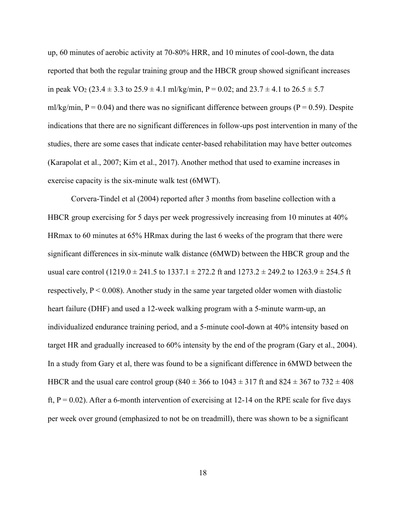up, 60 minutes of aerobic activity at 70-80% HRR, and 10 minutes of cool-down, the data reported that both the regular training group and the HBCR group showed significant increases in peak VO<sub>2</sub> (23.4  $\pm$  3.3 to 25.9  $\pm$  4.1 ml/kg/min, P = 0.02; and 23.7  $\pm$  4.1 to 26.5  $\pm$  5.7 ml/kg/min,  $P = 0.04$ ) and there was no significant difference between groups ( $P = 0.59$ ). Despite indications that there are no significant differences in follow-ups post intervention in many of the studies, there are some cases that indicate center-based rehabilitation may have better outcomes (Karapolat et al., 2007; Kim et al., 2017). Another method that used to examine increases in exercise capacity is the six-minute walk test (6MWT).

Corvera-Tindel et al (2004) reported after 3 months from baseline collection with a HBCR group exercising for 5 days per week progressively increasing from 10 minutes at 40% HRmax to 60 minutes at 65% HRmax during the last 6 weeks of the program that there were significant differences in six-minute walk distance (6MWD) between the HBCR group and the usual care control  $(1219.0 \pm 241.5 \text{ to } 1337.1 \pm 272.2 \text{ ft and } 1273.2 \pm 249.2 \text{ to } 1263.9 \pm 254.5 \text{ ft}$ respectively,  $P < 0.008$ ). Another study in the same year targeted older women with diastolic heart failure (DHF) and used a 12-week walking program with a 5-minute warm-up, an individualized endurance training period, and a 5-minute cool-down at 40% intensity based on target HR and gradually increased to 60% intensity by the end of the program (Gary et al., 2004). In a study from Gary et al, there was found to be a significant difference in 6MWD between the HBCR and the usual care control group (840  $\pm$  366 to 1043  $\pm$  317 ft and 824  $\pm$  367 to 732  $\pm$  408 ft,  $P = 0.02$ ). After a 6-month intervention of exercising at 12-14 on the RPE scale for five days per week over ground (emphasized to not be on treadmill), there was shown to be a significant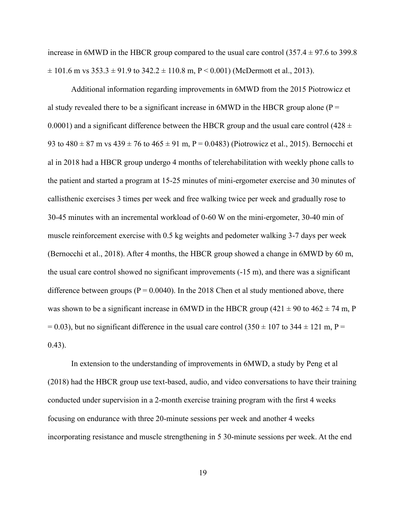increase in 6MWD in the HBCR group compared to the usual care control  $(357.4 \pm 97.6$  to 399.8  $\pm$  101.6 m vs 353.3  $\pm$  91.9 to 342.2  $\pm$  110.8 m, P < 0.001) (McDermott et al., 2013).

Additional information regarding improvements in 6MWD from the 2015 Piotrowicz et al study revealed there to be a significant increase in  $6MWD$  in the HBCR group alone (P = 0.0001) and a significant difference between the HBCR group and the usual care control (428  $\pm$ 93 to  $480 \pm 87$  m vs  $439 \pm 76$  to  $465 \pm 91$  m, P = 0.0483) (Piotrowicz et al., 2015). Bernocchi et al in 2018 had a HBCR group undergo 4 months of telerehabilitation with weekly phone calls to the patient and started a program at 15-25 minutes of mini-ergometer exercise and 30 minutes of callisthenic exercises 3 times per week and free walking twice per week and gradually rose to 30-45 minutes with an incremental workload of 0-60 W on the mini-ergometer, 30-40 min of muscle reinforcement exercise with 0.5 kg weights and pedometer walking 3-7 days per week (Bernocchi et al., 2018). After 4 months, the HBCR group showed a change in 6MWD by 60 m, the usual care control showed no significant improvements (-15 m), and there was a significant difference between groups ( $P = 0.0040$ ). In the 2018 Chen et al study mentioned above, there was shown to be a significant increase in 6MWD in the HBCR group (421  $\pm$  90 to 462  $\pm$  74 m, P  $= 0.03$ ), but no significant difference in the usual care control (350  $\pm$  107 to 344  $\pm$  121 m, P = 0.43).

In extension to the understanding of improvements in 6MWD, a study by Peng et al (2018) had the HBCR group use text-based, audio, and video conversations to have their training conducted under supervision in a 2-month exercise training program with the first 4 weeks focusing on endurance with three 20-minute sessions per week and another 4 weeks incorporating resistance and muscle strengthening in 5 30-minute sessions per week. At the end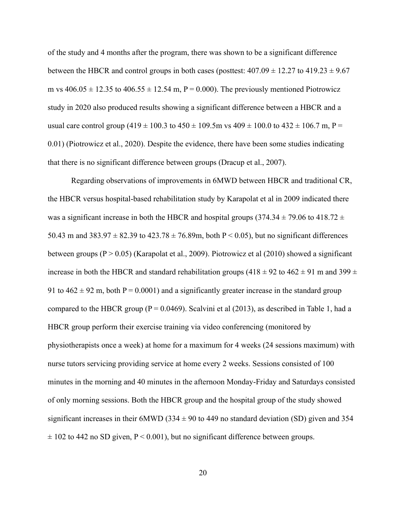of the study and 4 months after the program, there was shown to be a significant difference between the HBCR and control groups in both cases (posttest:  $407.09 \pm 12.27$  to  $419.23 \pm 9.67$ m vs  $406.05 \pm 12.35$  to  $406.55 \pm 12.54$  m,  $P = 0.000$ ). The previously mentioned Piotrowicz study in 2020 also produced results showing a significant difference between a HBCR and a usual care control group  $(419 \pm 100.3 \text{ to } 450 \pm 109.5 \text{m} \text{ vs } 409 \pm 100.0 \text{ to } 432 \pm 106.7 \text{ m}, P =$ 0.01) (Piotrowicz et al., 2020). Despite the evidence, there have been some studies indicating that there is no significant difference between groups (Dracup et al., 2007).

Regarding observations of improvements in 6MWD between HBCR and traditional CR, the HBCR versus hospital-based rehabilitation study by Karapolat et al in 2009 indicated there was a significant increase in both the HBCR and hospital groups (374.34  $\pm$  79.06 to 418.72  $\pm$ 50.43 m and 383.97  $\pm$  82.39 to 423.78  $\pm$  76.89m, both P < 0.05), but no significant differences between groups  $(P > 0.05)$  (Karapolat et al., 2009). Piotrowicz et al (2010) showed a significant increase in both the HBCR and standard rehabilitation groups (418  $\pm$  92 to 462  $\pm$  91 m and 399  $\pm$ 91 to  $462 \pm 92$  m, both P = 0.0001) and a significantly greater increase in the standard group compared to the HBCR group ( $P = 0.0469$ ). Scalvini et al (2013), as described in Table 1, had a HBCR group perform their exercise training via video conferencing (monitored by physiotherapists once a week) at home for a maximum for 4 weeks (24 sessions maximum) with nurse tutors servicing providing service at home every 2 weeks. Sessions consisted of 100 minutes in the morning and 40 minutes in the afternoon Monday-Friday and Saturdays consisted of only morning sessions. Both the HBCR group and the hospital group of the study showed significant increases in their 6MWD (334  $\pm$  90 to 449 no standard deviation (SD) given and 354  $\pm$  102 to 442 no SD given, P < 0.001), but no significant difference between groups.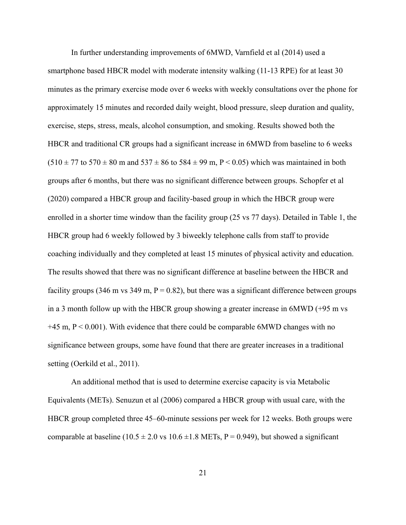In further understanding improvements of 6MWD, Varnfield et al (2014) used a smartphone based HBCR model with moderate intensity walking (11-13 RPE) for at least 30 minutes as the primary exercise mode over 6 weeks with weekly consultations over the phone for approximately 15 minutes and recorded daily weight, blood pressure, sleep duration and quality, exercise, steps, stress, meals, alcohol consumption, and smoking. Results showed both the HBCR and traditional CR groups had a significant increase in 6MWD from baseline to 6 weeks  $(510 \pm 77)$  to  $570 \pm 80$  m and  $537 \pm 86$  to  $584 \pm 99$  m, P < 0.05) which was maintained in both groups after 6 months, but there was no significant difference between groups. Schopfer et al (2020) compared a HBCR group and facility-based group in which the HBCR group were enrolled in a shorter time window than the facility group (25 vs 77 days). Detailed in Table 1, the HBCR group had 6 weekly followed by 3 biweekly telephone calls from staff to provide coaching individually and they completed at least 15 minutes of physical activity and education. The results showed that there was no significant difference at baseline between the HBCR and facility groups (346 m vs 349 m,  $P = 0.82$ ), but there was a significant difference between groups in a 3 month follow up with the HBCR group showing a greater increase in 6MWD (+95 m vs  $+45$  m,  $P < 0.001$ ). With evidence that there could be comparable 6MWD changes with no significance between groups, some have found that there are greater increases in a traditional setting (Oerkild et al., 2011).

An additional method that is used to determine exercise capacity is via Metabolic Equivalents (METs). Senuzun et al (2006) compared a HBCR group with usual care, with the HBCR group completed three 45–60-minute sessions per week for 12 weeks. Both groups were comparable at baseline (10.5  $\pm$  2.0 vs 10.6  $\pm$ 1.8 METs, P = 0.949), but showed a significant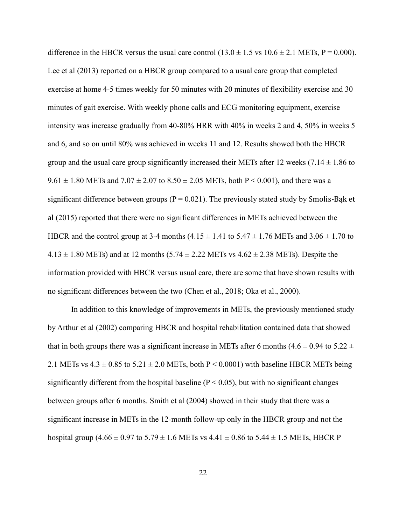difference in the HBCR versus the usual care control  $(13.0 \pm 1.5 \text{ vs } 10.6 \pm 2.1 \text{ METs}, P = 0.000)$ . Lee et al (2013) reported on a HBCR group compared to a usual care group that completed exercise at home 4-5 times weekly for 50 minutes with 20 minutes of flexibility exercise and 30 minutes of gait exercise. With weekly phone calls and ECG monitoring equipment, exercise intensity was increase gradually from 40-80% HRR with 40% in weeks 2 and 4, 50% in weeks 5 and 6, and so on until 80% was achieved in weeks 11 and 12. Results showed both the HBCR group and the usual care group significantly increased their METs after 12 weeks  $(7.14 \pm 1.86$  to  $9.61 \pm 1.80$  METs and  $7.07 \pm 2.07$  to  $8.50 \pm 2.05$  METs, both P < 0.001), and there was a significant difference between groups ( $P = 0.021$ ). The previously stated study by Smolis-Bak et al (2015) reported that there were no significant differences in METs achieved between the HBCR and the control group at 3-4 months  $(4.15 \pm 1.41$  to  $5.47 \pm 1.76$  METs and  $3.06 \pm 1.70$  to  $4.13 \pm 1.80$  METs) and at 12 months (5.74  $\pm$  2.22 METs vs 4.62  $\pm$  2.38 METs). Despite the information provided with HBCR versus usual care, there are some that have shown results with no significant differences between the two (Chen et al., 2018; Oka et al., 2000).

In addition to this knowledge of improvements in METs, the previously mentioned study by Arthur et al (2002) comparing HBCR and hospital rehabilitation contained data that showed that in both groups there was a significant increase in METs after 6 months  $(4.6 \pm 0.94$  to  $5.22 \pm 1.0)$ 2.1 METs vs  $4.3 \pm 0.85$  to  $5.21 \pm 2.0$  METs, both P < 0.0001) with baseline HBCR METs being significantly different from the hospital baseline  $(P < 0.05)$ , but with no significant changes between groups after 6 months. Smith et al (2004) showed in their study that there was a significant increase in METs in the 12-month follow-up only in the HBCR group and not the hospital group (4.66  $\pm$  0.97 to 5.79  $\pm$  1.6 METs vs 4.41  $\pm$  0.86 to 5.44  $\pm$  1.5 METs, HBCR P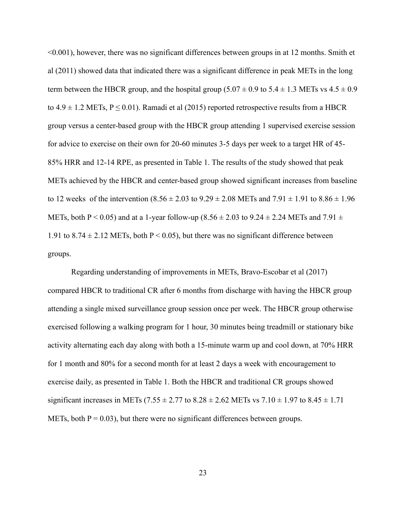<0.001), however, there was no significant differences between groups in at 12 months. Smith et al (2011) showed data that indicated there was a significant difference in peak METs in the long term between the HBCR group, and the hospital group  $(5.07 \pm 0.9 \text{ to } 5.4 \pm 1.3 \text{ METs vs } 4.5 \pm 0.9 \text{)}$ to  $4.9 \pm 1.2$  METs,  $P \le 0.01$ ). Ramadi et al (2015) reported retrospective results from a HBCR group versus a center-based group with the HBCR group attending 1 supervised exercise session for advice to exercise on their own for 20-60 minutes 3-5 days per week to a target HR of 45- 85% HRR and 12-14 RPE, as presented in Table 1. The results of the study showed that peak METs achieved by the HBCR and center-based group showed significant increases from baseline to 12 weeks of the intervention  $(8.56 \pm 2.03 \text{ to } 9.29 \pm 2.08 \text{ METs}$  and  $7.91 \pm 1.91 \text{ to } 8.86 \pm 1.96$ METs, both P < 0.05) and at a 1-year follow-up  $(8.56 \pm 2.03 \text{ to } 9.24 \pm 2.24 \text{ METs and } 7.91 \pm 1.00 \text{ MHz}$ 1.91 to  $8.74 \pm 2.12$  METs, both P < 0.05), but there was no significant difference between groups.

Regarding understanding of improvements in METs, Bravo-Escobar et al (2017) compared HBCR to traditional CR after 6 months from discharge with having the HBCR group attending a single mixed surveillance group session once per week. The HBCR group otherwise exercised following a walking program for 1 hour, 30 minutes being treadmill or stationary bike activity alternating each day along with both a 15-minute warm up and cool down, at 70% HRR for 1 month and 80% for a second month for at least 2 days a week with encouragement to exercise daily, as presented in Table 1. Both the HBCR and traditional CR groups showed significant increases in METs (7.55  $\pm$  2.77 to 8.28  $\pm$  2.62 METs vs 7.10  $\pm$  1.97 to 8.45  $\pm$  1.71 METs, both  $P = 0.03$ , but there were no significant differences between groups.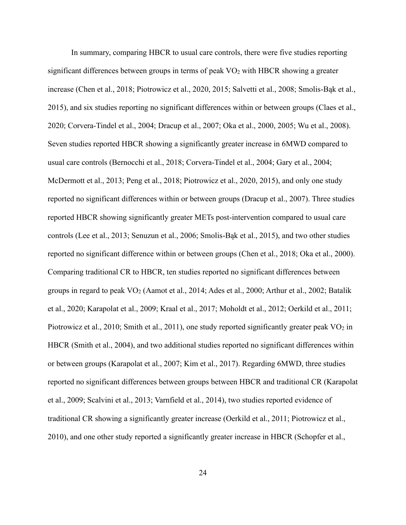In summary, comparing HBCR to usual care controls, there were five studies reporting significant differences between groups in terms of peak  $VO<sub>2</sub>$  with HBCR showing a greater increase (Chen et al., 2018; Piotrowicz et al., 2020, 2015; Salvetti et al., 2008; Smolis-Bąk et al., 2015), and six studies reporting no significant differences within or between groups (Claes et al., 2020; Corvera-Tindel et al., 2004; Dracup et al., 2007; Oka et al., 2000, 2005; Wu et al., 2008). Seven studies reported HBCR showing a significantly greater increase in 6MWD compared to usual care controls (Bernocchi et al., 2018; Corvera-Tindel et al., 2004; Gary et al., 2004; McDermott et al., 2013; Peng et al., 2018; Piotrowicz et al., 2020, 2015), and only one study reported no significant differences within or between groups (Dracup et al., 2007). Three studies reported HBCR showing significantly greater METs post-intervention compared to usual care controls (Lee et al., 2013; Senuzun et al., 2006; Smolis-Bąk et al., 2015), and two other studies reported no significant difference within or between groups (Chen et al., 2018; Oka et al., 2000). Comparing traditional CR to HBCR, ten studies reported no significant differences between groups in regard to peak VO<sup>2</sup> (Aamot et al., 2014; Ades et al., 2000; Arthur et al., 2002; Batalik et al., 2020; Karapolat et al., 2009; Kraal et al., 2017; Moholdt et al., 2012; Oerkild et al., 2011; Piotrowicz et al., 2010; Smith et al., 2011), one study reported significantly greater peak  $\rm VO_2$  in HBCR (Smith et al., 2004), and two additional studies reported no significant differences within or between groups (Karapolat et al., 2007; Kim et al., 2017). Regarding 6MWD, three studies reported no significant differences between groups between HBCR and traditional CR (Karapolat et al., 2009; Scalvini et al., 2013; Varnfield et al., 2014), two studies reported evidence of traditional CR showing a significantly greater increase (Oerkild et al., 2011; Piotrowicz et al., 2010), and one other study reported a significantly greater increase in HBCR (Schopfer et al.,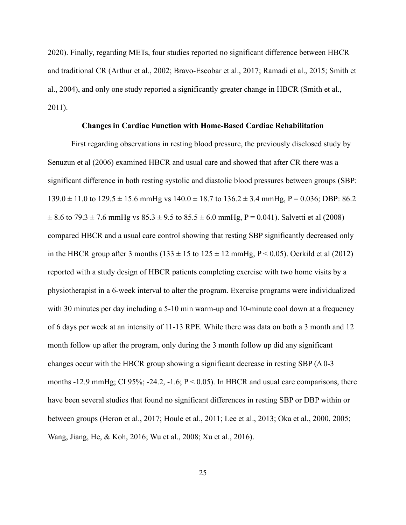2020). Finally, regarding METs, four studies reported no significant difference between HBCR and traditional CR (Arthur et al., 2002; Bravo-Escobar et al., 2017; Ramadi et al., 2015; Smith et al., 2004), and only one study reported a significantly greater change in HBCR (Smith et al., 2011).

#### **Changes in Cardiac Function with Home-Based Cardiac Rehabilitation**

First regarding observations in resting blood pressure, the previously disclosed study by Senuzun et al (2006) examined HBCR and usual care and showed that after CR there was a significant difference in both resting systolic and diastolic blood pressures between groups (SBP:  $139.0 \pm 11.0$  to  $129.5 \pm 15.6$  mmHg vs  $140.0 \pm 18.7$  to  $136.2 \pm 3.4$  mmHg, P = 0.036; DBP: 86.2  $\pm$  8.6 to 79.3  $\pm$  7.6 mmHg vs 85.3  $\pm$  9.5 to 85.5  $\pm$  6.0 mmHg, P = 0.041). Salvetti et al (2008) compared HBCR and a usual care control showing that resting SBP significantly decreased only in the HBCR group after 3 months ( $133 \pm 15$  to  $125 \pm 12$  mmHg, P < 0.05). Oerkild et al (2012) reported with a study design of HBCR patients completing exercise with two home visits by a physiotherapist in a 6-week interval to alter the program. Exercise programs were individualized with 30 minutes per day including a 5-10 min warm-up and 10-minute cool down at a frequency of 6 days per week at an intensity of 11-13 RPE. While there was data on both a 3 month and 12 month follow up after the program, only during the 3 month follow up did any significant changes occur with the HBCR group showing a significant decrease in resting SBP  $($  $\Delta$ 0 $-$ 3 months -12.9 mmHg; CI 95%; -24.2, -1.6;  $P < 0.05$ ). In HBCR and usual care comparisons, there have been several studies that found no significant differences in resting SBP or DBP within or between groups (Heron et al., 2017; Houle et al., 2011; Lee et al., 2013; Oka et al., 2000, 2005; Wang, Jiang, He, & Koh, 2016; Wu et al., 2008; Xu et al., 2016).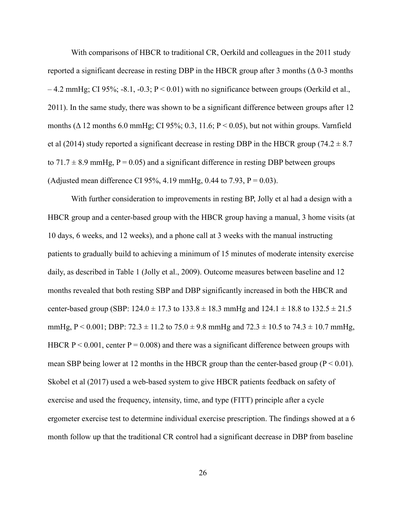With comparisons of HBCR to traditional CR, Oerkild and colleagues in the 2011 study reported a significant decrease in resting DBP in the HBCR group after 3 months ( $\Delta$ 0-3 months  $-4.2$  mmHg; CI 95%;  $-8.1$ ,  $-0.3$ ; P  $\leq 0.01$ ) with no significance between groups (Oerkild et al., 2011). In the same study, there was shown to be a significant difference between groups after 12 months ( $\Delta$  12 months 6.0 mmHg; CI 95%; 0.3, 11.6; P < 0.05), but not within groups. Varnfield et al (2014) study reported a significant decrease in resting DBP in the HBCR group (74.2  $\pm$  8.7) to  $71.7 \pm 8.9$  mmHg,  $P = 0.05$ ) and a significant difference in resting DBP between groups (Adjusted mean difference CI 95%, 4.19 mmHg, 0.44 to 7.93,  $P = 0.03$ ).

With further consideration to improvements in resting BP, Jolly et al had a design with a HBCR group and a center-based group with the HBCR group having a manual, 3 home visits (at 10 days, 6 weeks, and 12 weeks), and a phone call at 3 weeks with the manual instructing patients to gradually build to achieving a minimum of 15 minutes of moderate intensity exercise daily, as described in Table 1 (Jolly et al., 2009). Outcome measures between baseline and 12 months revealed that both resting SBP and DBP significantly increased in both the HBCR and center-based group (SBP:  $124.0 \pm 17.3$  to  $133.8 \pm 18.3$  mmHg and  $124.1 \pm 18.8$  to  $132.5 \pm 21.5$ mmHg,  $P < 0.001$ ; DBP:  $72.3 \pm 11.2$  to  $75.0 \pm 9.8$  mmHg and  $72.3 \pm 10.5$  to  $74.3 \pm 10.7$  mmHg, HBCR  $P < 0.001$ , center  $P = 0.008$ ) and there was a significant difference between groups with mean SBP being lower at 12 months in the HBCR group than the center-based group  $(P < 0.01)$ . Skobel et al (2017) used a web-based system to give HBCR patients feedback on safety of exercise and used the frequency, intensity, time, and type (FITT) principle after a cycle ergometer exercise test to determine individual exercise prescription. The findings showed at a 6 month follow up that the traditional CR control had a significant decrease in DBP from baseline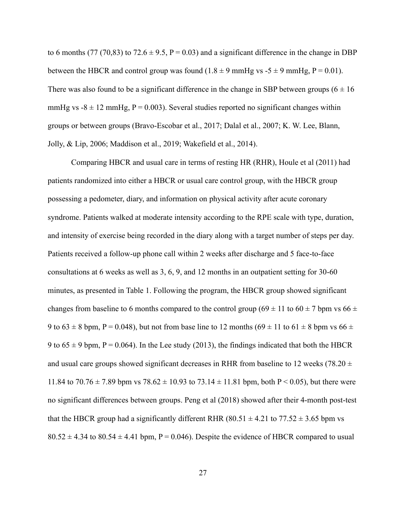to 6 months (77 (70,83) to 72.6  $\pm$  9.5, P = 0.03) and a significant difference in the change in DBP between the HBCR and control group was found  $(1.8 \pm 9 \text{ mmHg vs } -5 \pm 9 \text{ mmHg}, P = 0.01)$ . There was also found to be a significant difference in the change in SBP between groups ( $6 \pm 16$ ) mmHg vs  $-8 \pm 12$  mmHg, P = 0.003). Several studies reported no significant changes within groups or between groups (Bravo-Escobar et al., 2017; Dalal et al., 2007; K. W. Lee, Blann, Jolly, & Lip, 2006; Maddison et al., 2019; Wakefield et al., 2014).

Comparing HBCR and usual care in terms of resting HR (RHR), Houle et al (2011) had patients randomized into either a HBCR or usual care control group, with the HBCR group possessing a pedometer, diary, and information on physical activity after acute coronary syndrome. Patients walked at moderate intensity according to the RPE scale with type, duration, and intensity of exercise being recorded in the diary along with a target number of steps per day. Patients received a follow-up phone call within 2 weeks after discharge and 5 face-to-face consultations at 6 weeks as well as 3, 6, 9, and 12 months in an outpatient setting for 30-60 minutes, as presented in Table 1. Following the program, the HBCR group showed significant changes from baseline to 6 months compared to the control group (69  $\pm$  11 to 60  $\pm$  7 bpm vs 66  $\pm$ 9 to  $63 \pm 8$  bpm, P = 0.048), but not from base line to 12 months  $(69 \pm 11$  to  $61 \pm 8$  bpm vs  $66 \pm 10$ 9 to  $65 \pm 9$  bpm, P = 0.064). In the Lee study (2013), the findings indicated that both the HBCR and usual care groups showed significant decreases in RHR from baseline to 12 weeks (78.20  $\pm$ 11.84 to  $70.76 \pm 7.89$  bpm vs  $78.62 \pm 10.93$  to  $73.14 \pm 11.81$  bpm, both P < 0.05), but there were no significant differences between groups. Peng et al (2018) showed after their 4-month post-test that the HBCR group had a significantly different RHR (80.51  $\pm$  4.21 to 77.52  $\pm$  3.65 bpm vs  $80.52 \pm 4.34$  to  $80.54 \pm 4.41$  bpm, P = 0.046). Despite the evidence of HBCR compared to usual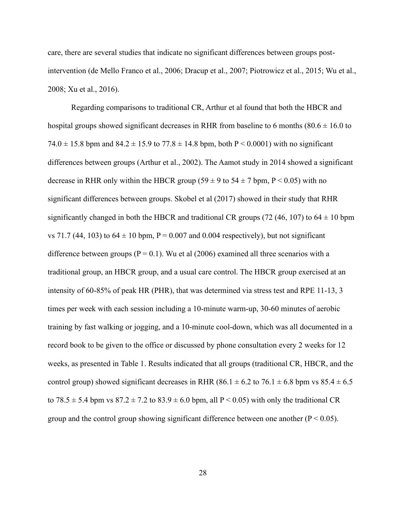care, there are several studies that indicate no significant differences between groups postintervention (de Mello Franco et al., 2006; Dracup et al., 2007; Piotrowicz et al., 2015; Wu et al., 2008; Xu et al., 2016).

Regarding comparisons to traditional CR, Arthur et al found that both the HBCR and hospital groups showed significant decreases in RHR from baseline to 6 months (80.6  $\pm$  16.0 to 74.0  $\pm$  15.8 bpm and 84.2  $\pm$  15.9 to 77.8  $\pm$  14.8 bpm, both P < 0.0001) with no significant differences between groups (Arthur et al., 2002). The Aamot study in 2014 showed a significant decrease in RHR only within the HBCR group (59  $\pm$  9 to 54  $\pm$  7 bpm, P < 0.05) with no significant differences between groups. Skobel et al (2017) showed in their study that RHR significantly changed in both the HBCR and traditional CR groups (72 (46, 107) to 64  $\pm$  10 bpm vs 71.7 (44, 103) to  $64 \pm 10$  bpm, P = 0.007 and 0.004 respectively), but not significant difference between groups ( $P = 0.1$ ). Wu et al (2006) examined all three scenarios with a traditional group, an HBCR group, and a usual care control. The HBCR group exercised at an intensity of 60-85% of peak HR (PHR), that was determined via stress test and RPE 11-13, 3 times per week with each session including a 10-minute warm-up, 30-60 minutes of aerobic training by fast walking or jogging, and a 10-minute cool-down, which was all documented in a record book to be given to the office or discussed by phone consultation every 2 weeks for 12 weeks, as presented in Table 1. Results indicated that all groups (traditional CR, HBCR, and the control group) showed significant decreases in RHR (86.1  $\pm$  6.2 to 76.1  $\pm$  6.8 bpm vs 85.4  $\pm$  6.5 to 78.5  $\pm$  5.4 bpm vs 87.2  $\pm$  7.2 to 83.9  $\pm$  6.0 bpm, all P < 0.05) with only the traditional CR group and the control group showing significant difference between one another ( $P < 0.05$ ).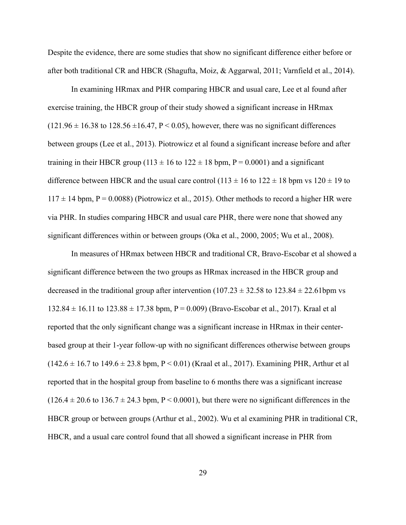Despite the evidence, there are some studies that show no significant difference either before or after both traditional CR and HBCR (Shagufta, Moiz, & Aggarwal, 2011; Varnfield et al., 2014).

In examining HRmax and PHR comparing HBCR and usual care, Lee et al found after exercise training, the HBCR group of their study showed a significant increase in HRmax  $(121.96 \pm 16.38$  to  $128.56 \pm 16.47$ , P < 0.05), however, there was no significant differences between groups (Lee et al., 2013). Piotrowicz et al found a significant increase before and after training in their HBCR group (113  $\pm$  16 to 122  $\pm$  18 bpm, P = 0.0001) and a significant difference between HBCR and the usual care control  $(113 \pm 16$  to  $122 \pm 18$  bpm vs  $120 \pm 19$  to  $117 \pm 14$  bpm, P = 0.0088) (Piotrowicz et al., 2015). Other methods to record a higher HR were via PHR. In studies comparing HBCR and usual care PHR, there were none that showed any significant differences within or between groups (Oka et al., 2000, 2005; Wu et al., 2008).

In measures of HRmax between HBCR and traditional CR, Bravo-Escobar et al showed a significant difference between the two groups as HRmax increased in the HBCR group and decreased in the traditional group after intervention  $(107.23 \pm 32.58$  to  $123.84 \pm 22.61$  bpm vs  $132.84 \pm 16.11$  to  $123.88 \pm 17.38$  bpm, P = 0.009) (Bravo-Escobar et al., 2017). Kraal et al reported that the only significant change was a significant increase in HRmax in their centerbased group at their 1-year follow-up with no significant differences otherwise between groups  $(142.6 \pm 16.7 \text{ to } 149.6 \pm 23.8 \text{ bpm}, P < 0.01)$  (Kraal et al., 2017). Examining PHR, Arthur et al reported that in the hospital group from baseline to 6 months there was a significant increase  $(126.4 \pm 20.6 \text{ to } 136.7 \pm 24.3 \text{ bpm}, P < 0.0001)$ , but there were no significant differences in the HBCR group or between groups (Arthur et al., 2002). Wu et al examining PHR in traditional CR, HBCR, and a usual care control found that all showed a significant increase in PHR from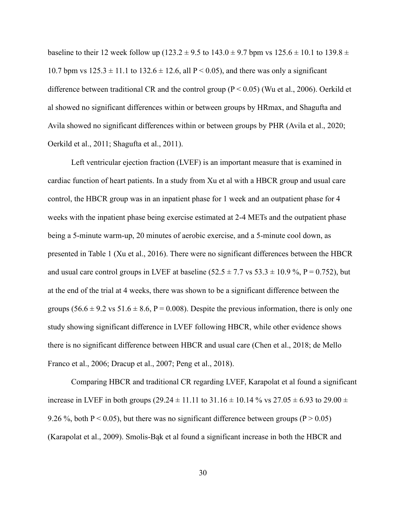baseline to their 12 week follow up (123.2  $\pm$  9.5 to 143.0  $\pm$  9.7 bpm vs 125.6  $\pm$  10.1 to 139.8  $\pm$ 10.7 bpm vs  $125.3 \pm 11.1$  to  $132.6 \pm 12.6$ , all P < 0.05), and there was only a significant difference between traditional CR and the control group  $(P < 0.05)$  (Wu et al., 2006). Oerkild et al showed no significant differences within or between groups by HRmax, and Shagufta and Avila showed no significant differences within or between groups by PHR (Avila et al., 2020; Oerkild et al., 2011; Shagufta et al., 2011).

Left ventricular ejection fraction (LVEF) is an important measure that is examined in cardiac function of heart patients. In a study from Xu et al with a HBCR group and usual care control, the HBCR group was in an inpatient phase for 1 week and an outpatient phase for 4 weeks with the inpatient phase being exercise estimated at 2-4 METs and the outpatient phase being a 5-minute warm-up, 20 minutes of aerobic exercise, and a 5-minute cool down, as presented in Table 1 (Xu et al., 2016). There were no significant differences between the HBCR and usual care control groups in LVEF at baseline  $(52.5 \pm 7.7 \text{ vs } 53.3 \pm 10.9 \text{ %}, P = 0.752)$ , but at the end of the trial at 4 weeks, there was shown to be a significant difference between the groups  $(56.6 \pm 9.2 \text{ vs } 51.6 \pm 8.6, P = 0.008)$ . Despite the previous information, there is only one study showing significant difference in LVEF following HBCR, while other evidence shows there is no significant difference between HBCR and usual care (Chen et al., 2018; de Mello Franco et al., 2006; Dracup et al., 2007; Peng et al., 2018).

Comparing HBCR and traditional CR regarding LVEF, Karapolat et al found a significant increase in LVEF in both groups (29.24  $\pm$  11.11 to 31.16  $\pm$  10.14 % vs 27.05  $\pm$  6.93 to 29.00  $\pm$ 9.26 %, both  $P < 0.05$ ), but there was no significant difference between groups ( $P > 0.05$ ) (Karapolat et al., 2009). Smolis-Bąk et al found a significant increase in both the HBCR and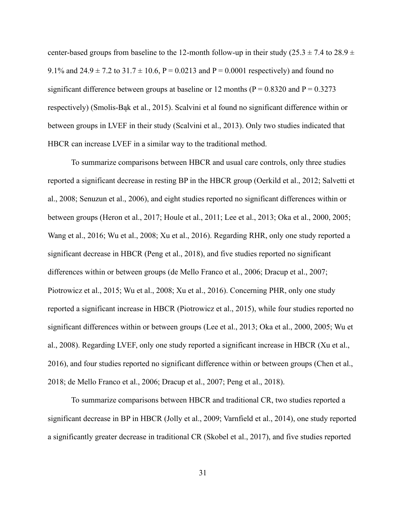center-based groups from baseline to the 12-month follow-up in their study (25.3  $\pm$  7.4 to 28.9  $\pm$ 9.1% and  $24.9 \pm 7.2$  to  $31.7 \pm 10.6$ , P = 0.0213 and P = 0.0001 respectively) and found no significant difference between groups at baseline or 12 months ( $P = 0.8320$  and  $P = 0.3273$ ) respectively) (Smolis-Bąk et al., 2015). Scalvini et al found no significant difference within or between groups in LVEF in their study (Scalvini et al., 2013). Only two studies indicated that HBCR can increase LVEF in a similar way to the traditional method.

To summarize comparisons between HBCR and usual care controls, only three studies reported a significant decrease in resting BP in the HBCR group (Oerkild et al., 2012; Salvetti et al., 2008; Senuzun et al., 2006), and eight studies reported no significant differences within or between groups (Heron et al., 2017; Houle et al., 2011; Lee et al., 2013; Oka et al., 2000, 2005; Wang et al., 2016; Wu et al., 2008; Xu et al., 2016). Regarding RHR, only one study reported a significant decrease in HBCR (Peng et al., 2018), and five studies reported no significant differences within or between groups (de Mello Franco et al., 2006; Dracup et al., 2007; Piotrowicz et al., 2015; Wu et al., 2008; Xu et al., 2016). Concerning PHR, only one study reported a significant increase in HBCR (Piotrowicz et al., 2015), while four studies reported no significant differences within or between groups (Lee et al., 2013; Oka et al., 2000, 2005; Wu et al., 2008). Regarding LVEF, only one study reported a significant increase in HBCR (Xu et al., 2016), and four studies reported no significant difference within or between groups (Chen et al., 2018; de Mello Franco et al., 2006; Dracup et al., 2007; Peng et al., 2018).

To summarize comparisons between HBCR and traditional CR, two studies reported a significant decrease in BP in HBCR (Jolly et al., 2009; Varnfield et al., 2014), one study reported a significantly greater decrease in traditional CR (Skobel et al., 2017), and five studies reported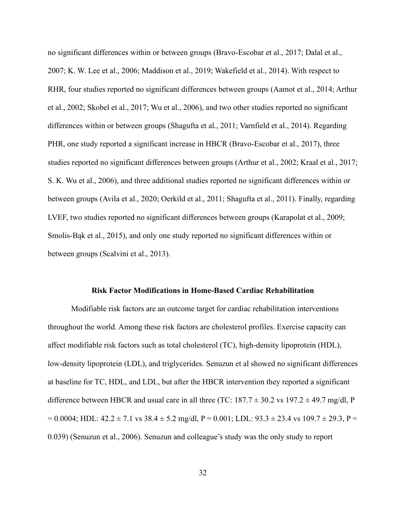no significant differences within or between groups (Bravo-Escobar et al., 2017; Dalal et al., 2007; K. W. Lee et al., 2006; Maddison et al., 2019; Wakefield et al., 2014). With respect to RHR, four studies reported no significant differences between groups (Aamot et al., 2014; Arthur et al., 2002; Skobel et al., 2017; Wu et al., 2006), and two other studies reported no significant differences within or between groups (Shagufta et al., 2011; Varnfield et al., 2014). Regarding PHR, one study reported a significant increase in HBCR (Bravo-Escobar et al., 2017), three studies reported no significant differences between groups (Arthur et al., 2002; Kraal et al., 2017; S. K. Wu et al., 2006), and three additional studies reported no significant differences within or between groups (Avila et al., 2020; Oerkild et al., 2011; Shagufta et al., 2011). Finally, regarding LVEF, two studies reported no significant differences between groups (Karapolat et al., 2009; Smolis-Bąk et al., 2015), and only one study reported no significant differences within or between groups (Scalvini et al., 2013).

#### **Risk Factor Modifications in Home-Based Cardiac Rehabilitation**

Modifiable risk factors are an outcome target for cardiac rehabilitation interventions throughout the world. Among these risk factors are cholesterol profiles. Exercise capacity can affect modifiable risk factors such as total cholesterol (TC), high-density lipoprotein (HDL), low-density lipoprotein (LDL), and triglycerides. Senuzun et al showed no significant differences at baseline for TC, HDL, and LDL, but after the HBCR intervention they reported a significant difference between HBCR and usual care in all three (TC:  $187.7 \pm 30.2$  vs  $197.2 \pm 49.7$  mg/dl, P  $= 0.0004$ ; HDL:  $42.2 \pm 7.1$  vs  $38.4 \pm 5.2$  mg/dl, P = 0.001; LDL:  $93.3 \pm 23.4$  vs  $109.7 \pm 29.3$ , P = 0.039) (Senuzun et al., 2006). Senuzun and colleague's study was the only study to report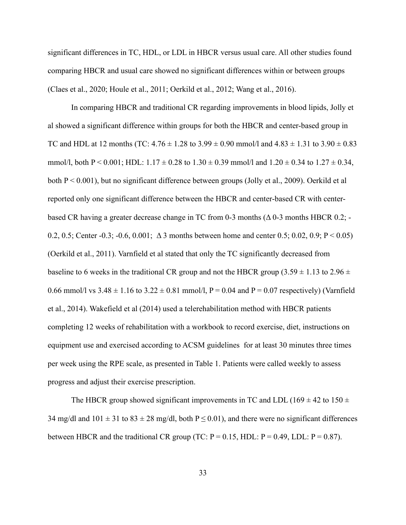significant differences in TC, HDL, or LDL in HBCR versus usual care. All other studies found comparing HBCR and usual care showed no significant differences within or between groups (Claes et al., 2020; Houle et al., 2011; Oerkild et al., 2012; Wang et al., 2016).

In comparing HBCR and traditional CR regarding improvements in blood lipids, Jolly et al showed a significant difference within groups for both the HBCR and center-based group in TC and HDL at 12 months (TC:  $4.76 \pm 1.28$  to  $3.99 \pm 0.90$  mmol/l and  $4.83 \pm 1.31$  to  $3.90 \pm 0.83$ mmol/l, both P < 0.001; HDL:  $1.17 \pm 0.28$  to  $1.30 \pm 0.39$  mmol/l and  $1.20 \pm 0.34$  to  $1.27 \pm 0.34$ , both P < 0.001), but no significant difference between groups (Jolly et al., 2009). Oerkild et al reported only one significant difference between the HBCR and center-based CR with centerbased CR having a greater decrease change in TC from 0-3 months  $(\Delta 0$ -3 months HBCR 0.2; -0.2, 0.5; Center -0.3; -0.6, 0.001;  $\Delta$  3 months between home and center 0.5; 0.02, 0.9; P < 0.05) (Oerkild et al., 2011). Varnfield et al stated that only the TC significantly decreased from baseline to 6 weeks in the traditional CR group and not the HBCR group (3.59  $\pm$  1.13 to 2.96  $\pm$ 0.66 mmol/l vs  $3.48 \pm 1.16$  to  $3.22 \pm 0.81$  mmol/l, P = 0.04 and P = 0.07 respectively) (Varnfield et al., 2014). Wakefield et al (2014) used a telerehabilitation method with HBCR patients completing 12 weeks of rehabilitation with a workbook to record exercise, diet, instructions on equipment use and exercised according to ACSM guidelines for at least 30 minutes three times per week using the RPE scale, as presented in Table 1. Patients were called weekly to assess progress and adjust their exercise prescription.

The HBCR group showed significant improvements in TC and LDL (169  $\pm$  42 to 150  $\pm$ 34 mg/dl and  $101 \pm 31$  to  $83 \pm 28$  mg/dl, both  $P \le 0.01$ ), and there were no significant differences between HBCR and the traditional CR group (TC:  $P = 0.15$ , HDL:  $P = 0.49$ , LDL:  $P = 0.87$ ).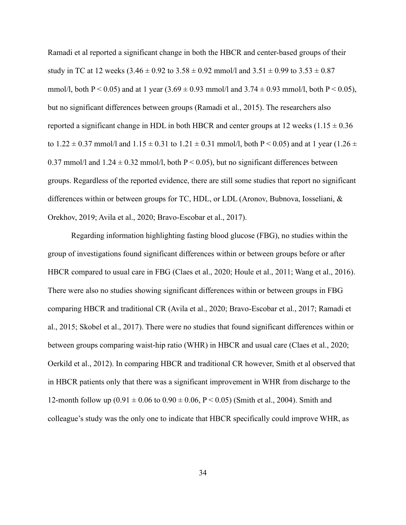Ramadi et al reported a significant change in both the HBCR and center-based groups of their study in TC at 12 weeks  $(3.46 \pm 0.92 \text{ to } 3.58 \pm 0.92 \text{ mmol/l}$  and  $3.51 \pm 0.99 \text{ to } 3.53 \pm 0.87$ mmol/l, both P < 0.05) and at 1 year  $(3.69 \pm 0.93 \text{ mmol/l}$  and  $3.74 \pm 0.93 \text{ mmol/l}$ , both P < 0.05), but no significant differences between groups (Ramadi et al., 2015). The researchers also reported a significant change in HDL in both HBCR and center groups at 12 weeks  $(1.15 \pm 0.36$ to 1.22  $\pm$  0.37 mmol/l and 1.15  $\pm$  0.31 to 1.21  $\pm$  0.31 mmol/l, both P < 0.05) and at 1 year (1.26  $\pm$ 0.37 mmol/l and  $1.24 \pm 0.32$  mmol/l, both P < 0.05), but no significant differences between groups. Regardless of the reported evidence, there are still some studies that report no significant differences within or between groups for TC, HDL, or LDL (Aronov, Bubnova, Iosseliani, & Orekhov, 2019; Avila et al., 2020; Bravo-Escobar et al., 2017).

Regarding information highlighting fasting blood glucose (FBG), no studies within the group of investigations found significant differences within or between groups before or after HBCR compared to usual care in FBG (Claes et al., 2020; Houle et al., 2011; Wang et al., 2016). There were also no studies showing significant differences within or between groups in FBG comparing HBCR and traditional CR (Avila et al., 2020; Bravo-Escobar et al., 2017; Ramadi et al., 2015; Skobel et al., 2017). There were no studies that found significant differences within or between groups comparing waist-hip ratio (WHR) in HBCR and usual care (Claes et al., 2020; Oerkild et al., 2012). In comparing HBCR and traditional CR however, Smith et al observed that in HBCR patients only that there was a significant improvement in WHR from discharge to the 12-month follow up  $(0.91 \pm 0.06 \text{ to } 0.90 \pm 0.06, P < 0.05)$  (Smith et al., 2004). Smith and colleague's study was the only one to indicate that HBCR specifically could improve WHR, as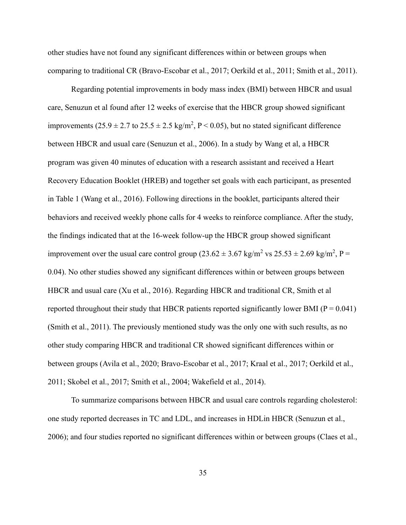other studies have not found any significant differences within or between groups when comparing to traditional CR (Bravo-Escobar et al., 2017; Oerkild et al., 2011; Smith et al., 2011).

Regarding potential improvements in body mass index (BMI) between HBCR and usual care, Senuzun et al found after 12 weeks of exercise that the HBCR group showed significant improvements  $(25.9 \pm 2.7 \text{ to } 25.5 \pm 2.5 \text{ kg/m}^2, P < 0.05)$ , but no stated significant difference between HBCR and usual care (Senuzun et al., 2006). In a study by Wang et al, a HBCR program was given 40 minutes of education with a research assistant and received a Heart Recovery Education Booklet (HREB) and together set goals with each participant, as presented in Table 1 (Wang et al., 2016). Following directions in the booklet, participants altered their behaviors and received weekly phone calls for 4 weeks to reinforce compliance. After the study, the findings indicated that at the 16-week follow-up the HBCR group showed significant improvement over the usual care control group (23.62  $\pm$  3.67 kg/m<sup>2</sup> vs 25.53  $\pm$  2.69 kg/m<sup>2</sup>, P = 0.04). No other studies showed any significant differences within or between groups between HBCR and usual care (Xu et al., 2016). Regarding HBCR and traditional CR, Smith et al reported throughout their study that HBCR patients reported significantly lower BMI ( $P = 0.041$ ) (Smith et al., 2011). The previously mentioned study was the only one with such results, as no other study comparing HBCR and traditional CR showed significant differences within or between groups (Avila et al., 2020; Bravo-Escobar et al., 2017; Kraal et al., 2017; Oerkild et al., 2011; Skobel et al., 2017; Smith et al., 2004; Wakefield et al., 2014).

To summarize comparisons between HBCR and usual care controls regarding cholesterol: one study reported decreases in TC and LDL, and increases in HDLin HBCR (Senuzun et al., 2006); and four studies reported no significant differences within or between groups (Claes et al.,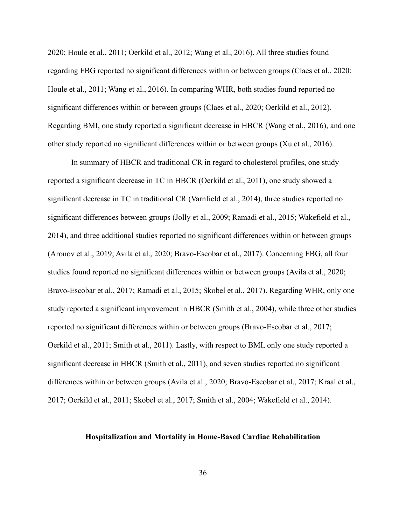2020; Houle et al., 2011; Oerkild et al., 2012; Wang et al., 2016). All three studies found regarding FBG reported no significant differences within or between groups (Claes et al., 2020; Houle et al., 2011; Wang et al., 2016). In comparing WHR, both studies found reported no significant differences within or between groups (Claes et al., 2020; Oerkild et al., 2012). Regarding BMI, one study reported a significant decrease in HBCR (Wang et al., 2016), and one other study reported no significant differences within or between groups (Xu et al., 2016).

In summary of HBCR and traditional CR in regard to cholesterol profiles, one study reported a significant decrease in TC in HBCR (Oerkild et al., 2011), one study showed a significant decrease in TC in traditional CR (Varnfield et al., 2014), three studies reported no significant differences between groups (Jolly et al., 2009; Ramadi et al., 2015; Wakefield et al., 2014), and three additional studies reported no significant differences within or between groups (Aronov et al., 2019; Avila et al., 2020; Bravo-Escobar et al., 2017). Concerning FBG, all four studies found reported no significant differences within or between groups (Avila et al., 2020; Bravo-Escobar et al., 2017; Ramadi et al., 2015; Skobel et al., 2017). Regarding WHR, only one study reported a significant improvement in HBCR (Smith et al., 2004), while three other studies reported no significant differences within or between groups (Bravo-Escobar et al., 2017; Oerkild et al., 2011; Smith et al., 2011). Lastly, with respect to BMI, only one study reported a significant decrease in HBCR (Smith et al., 2011), and seven studies reported no significant differences within or between groups (Avila et al., 2020; Bravo-Escobar et al., 2017; Kraal et al., 2017; Oerkild et al., 2011; Skobel et al., 2017; Smith et al., 2004; Wakefield et al., 2014).

## **Hospitalization and Mortality in Home-Based Cardiac Rehabilitation**

36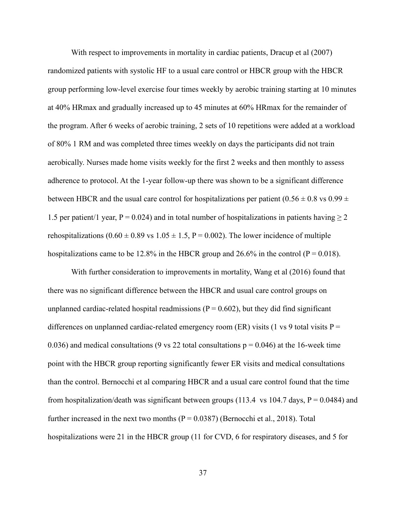With respect to improvements in mortality in cardiac patients, Dracup et al  $(2007)$ randomized patients with systolic HF to a usual care control or HBCR group with the HBCR group performing low-level exercise four times weekly by aerobic training starting at 10 minutes at 40% HRmax and gradually increased up to 45 minutes at 60% HRmax for the remainder of the program. After 6 weeks of aerobic training, 2 sets of 10 repetitions were added at a workload of 80% 1 RM and was completed three times weekly on days the participants did not train aerobically. Nurses made home visits weekly for the first 2 weeks and then monthly to assess adherence to protocol. At the 1-year follow-up there was shown to be a significant difference between HBCR and the usual care control for hospitalizations per patient  $(0.56 \pm 0.8 \text{ vs } 0.99 \pm 0.000)$ 1.5 per patient/1 year, P = 0.024) and in total number of hospitalizations in patients having  $\geq$  2 rehospitalizations  $(0.60 \pm 0.89 \text{ vs } 1.05 \pm 1.5, P = 0.002)$ . The lower incidence of multiple hospitalizations came to be 12.8% in the HBCR group and 26.6% in the control ( $P = 0.018$ ).

With further consideration to improvements in mortality, Wang et al (2016) found that there was no significant difference between the HBCR and usual care control groups on unplanned cardiac-related hospital readmissions ( $P = 0.602$ ), but they did find significant differences on unplanned cardiac-related emergency room (ER) visits (1 vs 9 total visits  $P =$ 0.036) and medical consultations (9 vs 22 total consultations  $p = 0.046$ ) at the 16-week time point with the HBCR group reporting significantly fewer ER visits and medical consultations than the control. Bernocchi et al comparing HBCR and a usual care control found that the time from hospitalization/death was significant between groups (113.4 vs 104.7 days,  $P = 0.0484$ ) and further increased in the next two months  $(P = 0.0387)$  (Bernocchi et al., 2018). Total hospitalizations were 21 in the HBCR group (11 for CVD, 6 for respiratory diseases, and 5 for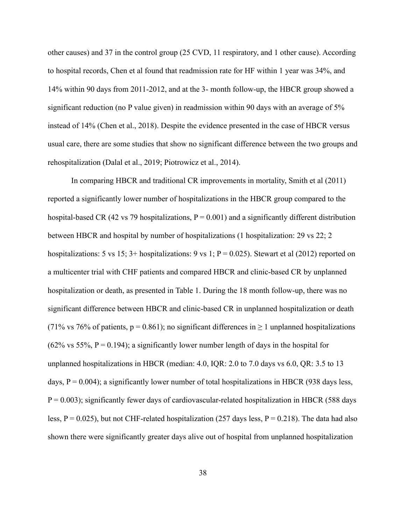other causes) and 37 in the control group (25 CVD, 11 respiratory, and 1 other cause). According to hospital records, Chen et al found that readmission rate for HF within 1 year was 34%, and 14% within 90 days from 2011-2012, and at the 3- month follow-up, the HBCR group showed a significant reduction (no P value given) in readmission within 90 days with an average of 5% instead of 14% (Chen et al., 2018). Despite the evidence presented in the case of HBCR versus usual care, there are some studies that show no significant difference between the two groups and rehospitalization (Dalal et al., 2019; Piotrowicz et al., 2014).

In comparing HBCR and traditional CR improvements in mortality, Smith et al (2011) reported a significantly lower number of hospitalizations in the HBCR group compared to the hospital-based CR (42 vs 79 hospitalizations,  $P = 0.001$ ) and a significantly different distribution between HBCR and hospital by number of hospitalizations (1 hospitalization: 29 vs 22; 2 hospitalizations: 5 vs 15;  $3+$  hospitalizations: 9 vs 1;  $P = 0.025$ ). Stewart et al (2012) reported on a multicenter trial with CHF patients and compared HBCR and clinic-based CR by unplanned hospitalization or death, as presented in Table 1. During the 18 month follow-up, there was no significant difference between HBCR and clinic-based CR in unplanned hospitalization or death (71% vs 76% of patients,  $p = 0.861$ ); no significant differences in  $\ge 1$  unplanned hospitalizations  $(62\% \text{ vs } 55\%, P = 0.194)$ ; a significantly lower number length of days in the hospital for unplanned hospitalizations in HBCR (median: 4.0, IQR: 2.0 to 7.0 days vs 6.0, QR: 3.5 to 13 days,  $P = 0.004$ ); a significantly lower number of total hospitalizations in HBCR (938 days less,  $P = 0.003$ ); significantly fewer days of cardiovascular-related hospitalization in HBCR (588 days less,  $P = 0.025$ ), but not CHF-related hospitalization (257 days less,  $P = 0.218$ ). The data had also shown there were significantly greater days alive out of hospital from unplanned hospitalization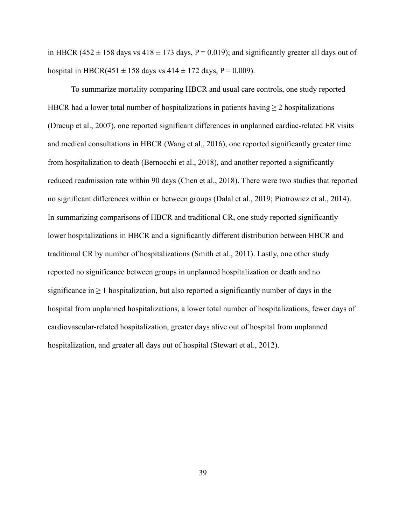in HBCR (452  $\pm$  158 days vs 418  $\pm$  173 days, P = 0.019); and significantly greater all days out of hospital in HBCR(451  $\pm$  158 days vs 414  $\pm$  172 days, P = 0.009).

To summarize mortality comparing HBCR and usual care controls, one study reported HBCR had a lower total number of hospitalizations in patients having  $\geq 2$  hospitalizations (Dracup et al., 2007), one reported significant differences in unplanned cardiac-related ER visits and medical consultations in HBCR (Wang et al., 2016), one reported significantly greater time from hospitalization to death (Bernocchi et al., 2018), and another reported a significantly reduced readmission rate within 90 days (Chen et al., 2018). There were two studies that reported no significant differences within or between groups (Dalal et al., 2019; Piotrowicz et al., 2014). In summarizing comparisons of HBCR and traditional CR, one study reported significantly lower hospitalizations in HBCR and a significantly different distribution between HBCR and traditional CR by number of hospitalizations (Smith et al., 2011). Lastly, one other study reported no significance between groups in unplanned hospitalization or death and no significance in  $\geq 1$  hospitalization, but also reported a significantly number of days in the hospital from unplanned hospitalizations, a lower total number of hospitalizations, fewer days of cardiovascular-related hospitalization, greater days alive out of hospital from unplanned hospitalization, and greater all days out of hospital (Stewart et al., 2012).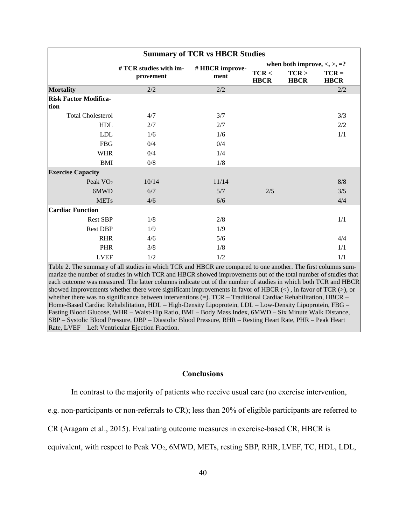| <b>Summary of TCR vs HBCR Studies</b> |                        |                 |                                          |                      |                        |
|---------------------------------------|------------------------|-----------------|------------------------------------------|----------------------|------------------------|
|                                       | # TCR studies with im- | # HBCR improve- | when both improve, $\lt$ , $\gt$ , $=$ ? |                      |                        |
|                                       | provement              | ment            | TCR <<br><b>HBCR</b>                     | TCR ><br><b>HBCR</b> | $TCR =$<br><b>HBCR</b> |
| <b>Mortality</b>                      | 2/2                    | 2/2             |                                          |                      | 2/2                    |
| <b>Risk Factor Modifica-</b><br>tion  |                        |                 |                                          |                      |                        |
| <b>Total Cholesterol</b>              | 4/7                    | 3/7             |                                          |                      | 3/3                    |
| <b>HDL</b>                            | 2/7                    | 2/7             |                                          |                      | 2/2                    |
| <b>LDL</b>                            | 1/6                    | 1/6             |                                          |                      | 1/1                    |
| <b>FBG</b>                            | 0/4                    | 0/4             |                                          |                      |                        |
| <b>WHR</b>                            | 0/4                    | 1/4             |                                          |                      |                        |
| <b>BMI</b>                            | 0/8                    | 1/8             |                                          |                      |                        |
| <b>Exercise Capacity</b>              |                        |                 |                                          |                      |                        |
| Peak $VO2$                            | 10/14                  | 11/14           |                                          |                      | 8/8                    |
| 6MWD                                  | 6/7                    | 5/7             | 2/5                                      |                      | 3/5                    |
| <b>METs</b>                           | 4/6                    | 6/6             |                                          |                      | 4/4                    |
| <b>Cardiac Function</b>               |                        |                 |                                          |                      |                        |
| <b>Rest SBP</b>                       | 1/8                    | 2/8             |                                          |                      | 1/1                    |
| <b>Rest DBP</b>                       | 1/9                    | 1/9             |                                          |                      |                        |
| <b>RHR</b>                            | 4/6                    | 5/6             |                                          |                      | 4/4                    |
| <b>PHR</b>                            | 3/8                    | 1/8             |                                          |                      | 1/1                    |
| <b>LVEF</b>                           | 1/2                    | 1/2             |                                          |                      | 1/1                    |

Table 2. The summary of all studies in which TCR and HBCR are compared to one another. The first columns summarize the number of studies in which TCR and HBCR showed improvements out of the total number of studies that each outcome was measured. The latter columns indicate out of the number of studies in which both TCR and HBCR showed improvements whether there were significant improvements in favor of HBCR  $(\le)$ , in favor of TCR  $(\ge)$ , or whether there was no significance between interventions  $(=)$ . TCR – Traditional Cardiac Rehabilitation, HBCR – Home-Based Cardiac Rehabilitation, HDL – High-Density Lipoprotein, LDL – Low-Density Lipoprotein, FBG – Fasting Blood Glucose, WHR – Waist-Hip Ratio, BMI – Body Mass Index, 6MWD – Six Minute Walk Distance, SBP – Systolic Blood Pressure, DBP – Diastolic Blood Pressure, RHR – Resting Heart Rate, PHR – Peak Heart Rate, LVEF – Left Ventricular Ejection Fraction.

### **Conclusions**

In contrast to the majority of patients who receive usual care (no exercise intervention,

e.g. non-participants or non-referrals to CR); less than 20% of eligible participants are referred to

CR (Aragam et al., 2015). Evaluating outcome measures in exercise-based CR, HBCR is

equivalent, with respect to Peak VO<sub>2</sub>, 6MWD, METs, resting SBP, RHR, LVEF, TC, HDL, LDL,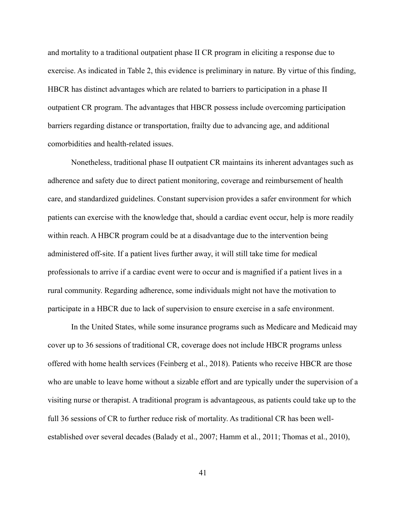and mortality to a traditional outpatient phase II CR program in eliciting a response due to exercise. As indicated in Table 2, this evidence is preliminary in nature. By virtue of this finding, HBCR has distinct advantages which are related to barriers to participation in a phase II outpatient CR program. The advantages that HBCR possess include overcoming participation barriers regarding distance or transportation, frailty due to advancing age, and additional comorbidities and health-related issues.

Nonetheless, traditional phase II outpatient CR maintains its inherent advantages such as adherence and safety due to direct patient monitoring, coverage and reimbursement of health care, and standardized guidelines. Constant supervision provides a safer environment for which patients can exercise with the knowledge that, should a cardiac event occur, help is more readily within reach. A HBCR program could be at a disadvantage due to the intervention being administered off-site. If a patient lives further away, it will still take time for medical professionals to arrive if a cardiac event were to occur and is magnified if a patient lives in a rural community. Regarding adherence, some individuals might not have the motivation to participate in a HBCR due to lack of supervision to ensure exercise in a safe environment.

In the United States, while some insurance programs such as Medicare and Medicaid may cover up to 36 sessions of traditional CR, coverage does not include HBCR programs unless offered with home health services (Feinberg et al., 2018). Patients who receive HBCR are those who are unable to leave home without a sizable effort and are typically under the supervision of a visiting nurse or therapist. A traditional program is advantageous, as patients could take up to the full 36 sessions of CR to further reduce risk of mortality. As traditional CR has been wellestablished over several decades (Balady et al., 2007; Hamm et al., 2011; Thomas et al., 2010),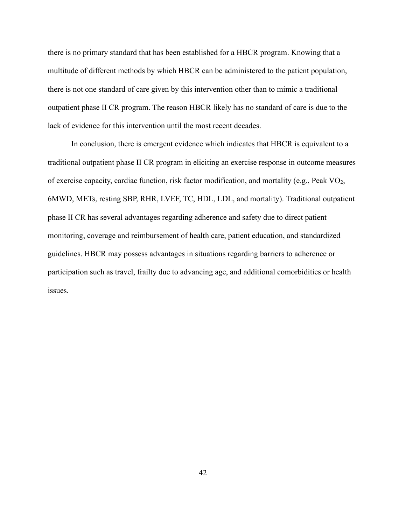there is no primary standard that has been established for a HBCR program. Knowing that a multitude of different methods by which HBCR can be administered to the patient population, there is not one standard of care given by this intervention other than to mimic a traditional outpatient phase II CR program. The reason HBCR likely has no standard of care is due to the lack of evidence for this intervention until the most recent decades.

In conclusion, there is emergent evidence which indicates that HBCR is equivalent to a traditional outpatient phase II CR program in eliciting an exercise response in outcome measures of exercise capacity, cardiac function, risk factor modification, and mortality (e.g., Peak VO2, 6MWD, METs, resting SBP, RHR, LVEF, TC, HDL, LDL, and mortality). Traditional outpatient phase II CR has several advantages regarding adherence and safety due to direct patient monitoring, coverage and reimbursement of health care, patient education, and standardized guidelines. HBCR may possess advantages in situations regarding barriers to adherence or participation such as travel, frailty due to advancing age, and additional comorbidities or health issues.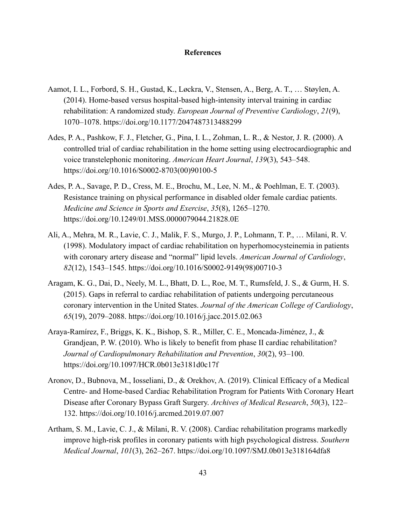## **References**

- Aamot, I. L., Forbord, S. H., Gustad, K., Løckra, V., Stensen, A., Berg, A. T., … Støylen, A. (2014). Home-based versus hospital-based high-intensity interval training in cardiac rehabilitation: A randomized study. *European Journal of Preventive Cardiology*, *21*(9), 1070–1078. https://doi.org/10.1177/2047487313488299
- Ades, P. A., Pashkow, F. J., Fletcher, G., Pina, I. L., Zohman, L. R., & Nestor, J. R. (2000). A controlled trial of cardiac rehabilitation in the home setting using electrocardiographic and voice transtelephonic monitoring. *American Heart Journal*, *139*(3), 543–548. https://doi.org/10.1016/S0002-8703(00)90100-5
- Ades, P. A., Savage, P. D., Cress, M. E., Brochu, M., Lee, N. M., & Poehlman, E. T. (2003). Resistance training on physical performance in disabled older female cardiac patients. *Medicine and Science in Sports and Exercise*, *35*(8), 1265–1270. https://doi.org/10.1249/01.MSS.0000079044.21828.0E
- Ali, A., Mehra, M. R., Lavie, C. J., Malik, F. S., Murgo, J. P., Lohmann, T. P., … Milani, R. V. (1998). Modulatory impact of cardiac rehabilitation on hyperhomocysteinemia in patients with coronary artery disease and "normal" lipid levels. *American Journal of Cardiology*, *82*(12), 1543–1545. https://doi.org/10.1016/S0002-9149(98)00710-3
- Aragam, K. G., Dai, D., Neely, M. L., Bhatt, D. L., Roe, M. T., Rumsfeld, J. S., & Gurm, H. S. (2015). Gaps in referral to cardiac rehabilitation of patients undergoing percutaneous coronary intervention in the United States. *Journal of the American College of Cardiology*, *65*(19), 2079–2088. https://doi.org/10.1016/j.jacc.2015.02.063
- Araya-Ramírez, F., Briggs, K. K., Bishop, S. R., Miller, C. E., Moncada-Jiménez, J., & Grandjean, P. W. (2010). Who is likely to benefit from phase II cardiac rehabilitation? *Journal of Cardiopulmonary Rehabilitation and Prevention*, *30*(2), 93–100. https://doi.org/10.1097/HCR.0b013e3181d0c17f
- Aronov, D., Bubnova, M., Iosseliani, D., & Orekhov, A. (2019). Clinical Efficacy of а Medical Centre- and Home-based Cardiac Rehabilitation Program for Patients With Coronary Heart Disease after Coronary Bypass Graft Surgery. *Archives of Medical Research*, *50*(3), 122– 132. https://doi.org/10.1016/j.arcmed.2019.07.007
- Artham, S. M., Lavie, C. J., & Milani, R. V. (2008). Cardiac rehabilitation programs markedly improve high-risk profiles in coronary patients with high psychological distress. *Southern Medical Journal*, *101*(3), 262–267. https://doi.org/10.1097/SMJ.0b013e318164dfa8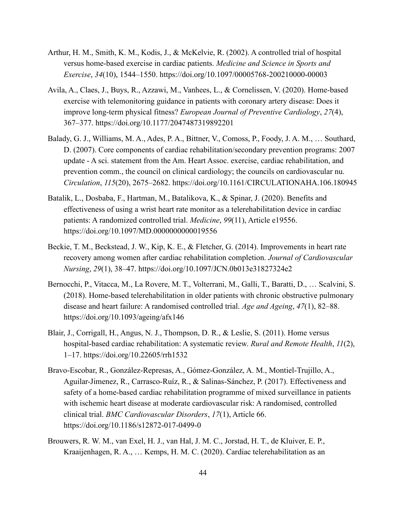- Arthur, H. M., Smith, K. M., Kodis, J., & McKelvie, R. (2002). A controlled trial of hospital versus home-based exercise in cardiac patients. *Medicine and Science in Sports and Exercise*, *34*(10), 1544–1550. https://doi.org/10.1097/00005768-200210000-00003
- Avila, A., Claes, J., Buys, R., Azzawi, M., Vanhees, L., & Cornelissen, V. (2020). Home-based exercise with telemonitoring guidance in patients with coronary artery disease: Does it improve long-term physical fitness? *European Journal of Preventive Cardiology*, *27*(4), 367–377. https://doi.org/10.1177/2047487319892201
- Balady, G. J., Williams, M. A., Ades, P. A., Bittner, V., Comoss, P., Foody, J. A. M., … Southard, D. (2007). Core components of cardiac rehabilitation/secondary prevention programs: 2007 update - A sci. statement from the Am. Heart Assoc. exercise, cardiac rehabilitation, and prevention comm., the council on clinical cardiology; the councils on cardiovascular nu. *Circulation*, *115*(20), 2675–2682. https://doi.org/10.1161/CIRCULATIONAHA.106.180945
- Batalik, L., Dosbaba, F., Hartman, M., Batalikova, K., & Spinar, J. (2020). Benefits and effectiveness of using a wrist heart rate monitor as a telerehabilitation device in cardiac patients: A randomized controlled trial. *Medicine*, *99*(11), Article e19556. https://doi.org/10.1097/MD.0000000000019556
- Beckie, T. M., Beckstead, J. W., Kip, K. E., & Fletcher, G. (2014). Improvements in heart rate recovery among women after cardiac rehabilitation completion. *Journal of Cardiovascular Nursing*, *29*(1), 38–47. https://doi.org/10.1097/JCN.0b013e31827324e2
- Bernocchi, P., Vitacca, M., La Rovere, M. T., Volterrani, M., Galli, T., Baratti, D., … Scalvini, S. (2018). Home-based telerehabilitation in older patients with chronic obstructive pulmonary disease and heart failure: A randomised controlled trial. *Age and Ageing*, *47*(1), 82–88. https://doi.org/10.1093/ageing/afx146
- Blair, J., Corrigall, H., Angus, N. J., Thompson, D. R., & Leslie, S. (2011). Home versus hospital-based cardiac rehabilitation: A systematic review. *Rural and Remote Health*, *11*(2), 1–17. https://doi.org/10.22605/rrh1532
- Bravo-Escobar, R., González-Represas, A., Gómez-González, A. M., Montiel-Trujillo, A., Aguilar-Jimenez, R., Carrasco-Ruíz, R., & Salinas-Sánchez, P. (2017). Effectiveness and safety of a home-based cardiac rehabilitation programme of mixed surveillance in patients with ischemic heart disease at moderate cardiovascular risk: A randomised, controlled clinical trial. *BMC Cardiovascular Disorders*, *17*(1), Article 66. https://doi.org/10.1186/s12872-017-0499-0
- Brouwers, R. W. M., van Exel, H. J., van Hal, J. M. C., Jorstad, H. T., de Kluiver, E. P., Kraaijenhagen, R. A., … Kemps, H. M. C. (2020). Cardiac telerehabilitation as an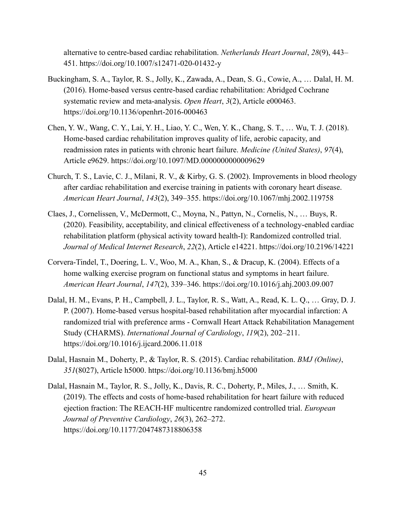alternative to centre-based cardiac rehabilitation. *Netherlands Heart Journal*, *28*(9), 443– 451. https://doi.org/10.1007/s12471-020-01432-y

- Buckingham, S. A., Taylor, R. S., Jolly, K., Zawada, A., Dean, S. G., Cowie, A., … Dalal, H. M. (2016). Home-based versus centre-based cardiac rehabilitation: Abridged Cochrane systematic review and meta-analysis. *Open Heart*, *3*(2), Article e000463. https://doi.org/10.1136/openhrt-2016-000463
- Chen, Y. W., Wang, C. Y., Lai, Y. H., Liao, Y. C., Wen, Y. K., Chang, S. T., … Wu, T. J. (2018). Home-based cardiac rehabilitation improves quality of life, aerobic capacity, and readmission rates in patients with chronic heart failure. *Medicine (United States)*, *97*(4), Article e9629. https://doi.org/10.1097/MD.0000000000009629
- Church, T. S., Lavie, C. J., Milani, R. V., & Kirby, G. S. (2002). Improvements in blood rheology after cardiac rehabilitation and exercise training in patients with coronary heart disease. *American Heart Journal*, *143*(2), 349–355. https://doi.org/10.1067/mhj.2002.119758
- Claes, J., Cornelissen, V., McDermott, C., Moyna, N., Pattyn, N., Cornelis, N., … Buys, R. (2020). Feasibility, acceptability, and clinical effectiveness of a technology-enabled cardiac rehabilitation platform (physical activity toward health-I): Randomized controlled trial. *Journal of Medical Internet Research*, *22*(2), Article e14221. https://doi.org/10.2196/14221
- Corvera-Tindel, T., Doering, L. V., Woo, M. A., Khan, S., & Dracup, K. (2004). Effects of a home walking exercise program on functional status and symptoms in heart failure. *American Heart Journal*, *147*(2), 339–346. https://doi.org/10.1016/j.ahj.2003.09.007
- Dalal, H. M., Evans, P. H., Campbell, J. L., Taylor, R. S., Watt, A., Read, K. L. Q., … Gray, D. J. P. (2007). Home-based versus hospital-based rehabilitation after myocardial infarction: A randomized trial with preference arms - Cornwall Heart Attack Rehabilitation Management Study (CHARMS). *International Journal of Cardiology*, *119*(2), 202–211. https://doi.org/10.1016/j.ijcard.2006.11.018
- Dalal, Hasnain M., Doherty, P., & Taylor, R. S. (2015). Cardiac rehabilitation. *BMJ (Online)*, *351*(8027), Article h5000. https://doi.org/10.1136/bmj.h5000
- Dalal, Hasnain M., Taylor, R. S., Jolly, K., Davis, R. C., Doherty, P., Miles, J., … Smith, K. (2019). The effects and costs of home-based rehabilitation for heart failure with reduced ejection fraction: The REACH-HF multicentre randomized controlled trial. *European Journal of Preventive Cardiology*, *26*(3), 262–272. https://doi.org/10.1177/2047487318806358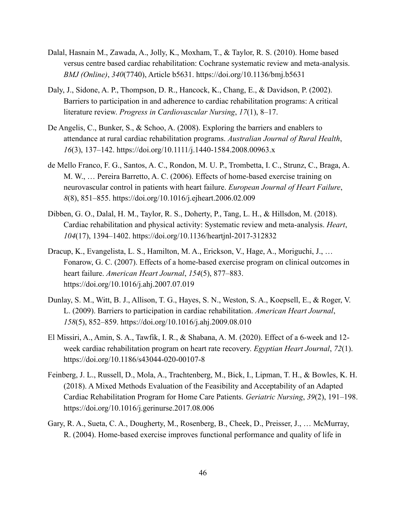- Dalal, Hasnain M., Zawada, A., Jolly, K., Moxham, T., & Taylor, R. S. (2010). Home based versus centre based cardiac rehabilitation: Cochrane systematic review and meta-analysis. *BMJ (Online)*, *340*(7740), Article b5631. https://doi.org/10.1136/bmj.b5631
- Daly, J., Sidone, A. P., Thompson, D. R., Hancock, K., Chang, E., & Davidson, P. (2002). Barriers to participation in and adherence to cardiac rehabilitation programs: A critical literature review. *Progress in Cardiovascular Nursing*, *17*(1), 8–17.
- De Angelis, C., Bunker, S., & Schoo, A. (2008). Exploring the barriers and enablers to attendance at rural cardiac rehabilitation programs. *Australian Journal of Rural Health*, *16*(3), 137–142. https://doi.org/10.1111/j.1440-1584.2008.00963.x
- de Mello Franco, F. G., Santos, A. C., Rondon, M. U. P., Trombetta, I. C., Strunz, C., Braga, A. M. W., … Pereira Barretto, A. C. (2006). Effects of home-based exercise training on neurovascular control in patients with heart failure. *European Journal of Heart Failure*, *8*(8), 851–855. https://doi.org/10.1016/j.ejheart.2006.02.009
- Dibben, G. O., Dalal, H. M., Taylor, R. S., Doherty, P., Tang, L. H., & Hillsdon, M. (2018). Cardiac rehabilitation and physical activity: Systematic review and meta-analysis. *Heart*, *104*(17), 1394–1402. https://doi.org/10.1136/heartjnl-2017-312832
- Dracup, K., Evangelista, L. S., Hamilton, M. A., Erickson, V., Hage, A., Moriguchi, J., … Fonarow, G. C. (2007). Effects of a home-based exercise program on clinical outcomes in heart failure. *American Heart Journal*, *154*(5), 877–883. https://doi.org/10.1016/j.ahj.2007.07.019
- Dunlay, S. M., Witt, B. J., Allison, T. G., Hayes, S. N., Weston, S. A., Koepsell, E., & Roger, V. L. (2009). Barriers to participation in cardiac rehabilitation. *American Heart Journal*, *158*(5), 852–859. https://doi.org/10.1016/j.ahj.2009.08.010
- El Missiri, A., Amin, S. A., Tawfik, I. R., & Shabana, A. M. (2020). Effect of a 6-week and 12 week cardiac rehabilitation program on heart rate recovery. *Egyptian Heart Journal*, *72*(1). https://doi.org/10.1186/s43044-020-00107-8
- Feinberg, J. L., Russell, D., Mola, A., Trachtenberg, M., Bick, I., Lipman, T. H., & Bowles, K. H. (2018). A Mixed Methods Evaluation of the Feasibility and Acceptability of an Adapted Cardiac Rehabilitation Program for Home Care Patients. *Geriatric Nursing*, *39*(2), 191–198. https://doi.org/10.1016/j.gerinurse.2017.08.006
- Gary, R. A., Sueta, C. A., Dougherty, M., Rosenberg, B., Cheek, D., Preisser, J., … McMurray, R. (2004). Home-based exercise improves functional performance and quality of life in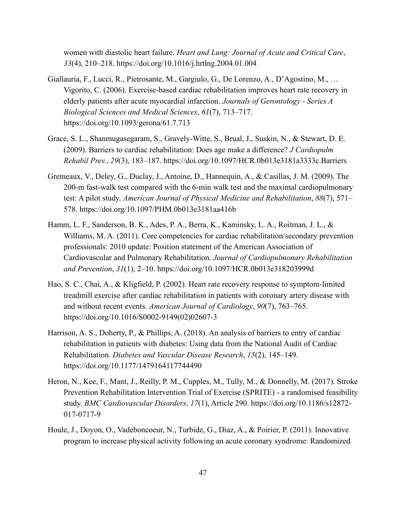women with diastolic heart failure. *Heart and Lung: Journal of Acute and Critical Care*, *33*(4), 210–218. https://doi.org/10.1016/j.hrtlng.2004.01.004

- Giallauria, F., Lucci, R., Pietrosante, M., Gargiulo, G., De Lorenzo, A., D'Agostino, M., … Vigorito, C. (2006). Exercise-based cardiac rehabilitation improves heart rate recovery in elderly patients after acute myocardial infarction. *Journals of Gerontology - Series A Biological Sciences and Medical Sciences*, *61*(7), 713–717. https://doi.org/10.1093/gerona/61.7.713
- Grace, S. L., Shanmugasegaram, S., Gravely-Witte, S., Brual, J., Suskin, N., & Stewart, D. E. (2009). Barriers to cardiac rehabilitation: Does age make a difference? *J Cardiopulm Rehabil Prev.*, *29*(3), 183–187. https://doi.org/10.1097/HCR.0b013e3181a3333c.Barriers
- Gremeaux, V., Deley, G., Duclay, J., Antoine, D., Hannequin, A., & Casillas, J. M. (2009). The 200-m fast-walk test compared with the 6-min walk test and the maximal cardiopulmonary test: A pilot study. *American Journal of Physical Medicine and Rehabilitation*, *88*(7), 571– 578. https://doi.org/10.1097/PHM.0b013e3181aa416b
- Hamm, L. F., Sanderson, B. K., Ades, P. A., Berra, K., Kaminsky, L. A., Roitman, J. L., & Williams, M. A. (2011). Core competencies for cardiac rehabilitation/secondary prevention professionals: 2010 update: Position statement of the American Association of Cardiovascular and Pulmonary Rehabilitation. *Journal of Cardiopulmonary Rehabilitation and Prevention*, *31*(1), 2–10. https://doi.org/10.1097/HCR.0b013e318203999d
- Hao, S. C., Chai, A., & Kligfield, P. (2002). Heart rate recovery response to symptom-limited treadmill exercise after cardiac rehabilitation in patients with coronary artery disease with and without recent events. *American Journal of Cardiology*, *90*(7), 763–765. https://doi.org/10.1016/S0002-9149(02)02607-3
- Harrison, A. S., Doherty, P., & Phillips, A. (2018). An analysis of barriers to entry of cardiac rehabilitation in patients with diabetes: Using data from the National Audit of Cardiac Rehabilitation. *Diabetes and Vascular Disease Research*, *15*(2), 145–149. https://doi.org/10.1177/1479164117744490
- Heron, N., Kee, F., Mant, J., Reilly, P. M., Cupples, M., Tully, M., & Donnelly, M. (2017). Stroke Prevention Rehabilitation Intervention Trial of Exercise (SPRITE) - a randomised feasibility study. *BMC Cardiovascular Disorders*, *17*(1), Article 290. https://doi.org/10.1186/s12872- 017-0717-9
- Houle, J., Doyon, O., Vadeboncoeur, N., Turbide, G., Diaz, A., & Poirier, P. (2011). Innovative program to increase physical activity following an acute coronary syndrome: Randomized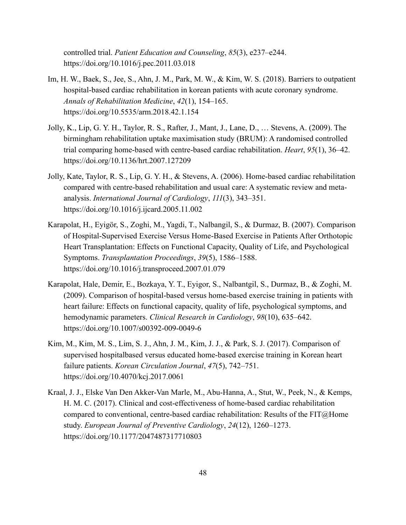controlled trial. *Patient Education and Counseling*, *85*(3), e237–e244. https://doi.org/10.1016/j.pec.2011.03.018

- Im, H. W., Baek, S., Jee, S., Ahn, J. M., Park, M. W., & Kim, W. S. (2018). Barriers to outpatient hospital-based cardiac rehabilitation in korean patients with acute coronary syndrome. *Annals of Rehabilitation Medicine*, *42*(1), 154–165. https://doi.org/10.5535/arm.2018.42.1.154
- Jolly, K., Lip, G. Y. H., Taylor, R. S., Rafter, J., Mant, J., Lane, D., … Stevens, A. (2009). The birmingham rehabilitation uptake maximisation study (BRUM): A randomised controlled trial comparing home-based with centre-based cardiac rehabilitation. *Heart*, *95*(1), 36–42. https://doi.org/10.1136/hrt.2007.127209
- Jolly, Kate, Taylor, R. S., Lip, G. Y. H., & Stevens, A. (2006). Home-based cardiac rehabilitation compared with centre-based rehabilitation and usual care: A systematic review and metaanalysis. *International Journal of Cardiology*, *111*(3), 343–351. https://doi.org/10.1016/j.ijcard.2005.11.002
- Karapolat, H., Eyigör, S., Zoghi, M., Yagdi, T., Nalbangil, S., & Durmaz, B. (2007). Comparison of Hospital-Supervised Exercise Versus Home-Based Exercise in Patients After Orthotopic Heart Transplantation: Effects on Functional Capacity, Quality of Life, and Psychological Symptoms. *Transplantation Proceedings*, *39*(5), 1586–1588. https://doi.org/10.1016/j.transproceed.2007.01.079
- Karapolat, Hale, Demir, E., Bozkaya, Y. T., Eyigor, S., Nalbantgil, S., Durmaz, B., & Zoghi, M. (2009). Comparison of hospital-based versus home-based exercise training in patients with heart failure: Effects on functional capacity, quality of life, psychological symptoms, and hemodynamic parameters. *Clinical Research in Cardiology*, *98*(10), 635–642. https://doi.org/10.1007/s00392-009-0049-6
- Kim, M., Kim, M. S., Lim, S. J., Ahn, J. M., Kim, J. J., & Park, S. J. (2017). Comparison of supervised hospitalbased versus educated home-based exercise training in Korean heart failure patients. *Korean Circulation Journal*, *47*(5), 742–751. https://doi.org/10.4070/kcj.2017.0061
- Kraal, J. J., Elske Van Den Akker-Van Marle, M., Abu-Hanna, A., Stut, W., Peek, N., & Kemps, H. M. C. (2017). Clinical and cost-effectiveness of home-based cardiac rehabilitation compared to conventional, centre-based cardiac rehabilitation: Results of the  $FIT@Home$ study. *European Journal of Preventive Cardiology*, *24*(12), 1260–1273. https://doi.org/10.1177/2047487317710803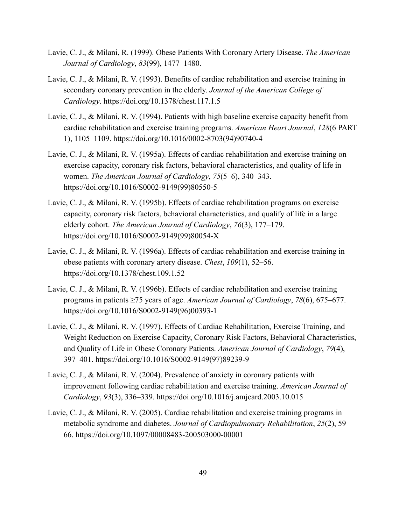- Lavie, C. J., & Milani, R. (1999). Obese Patients With Coronary Artery Disease. *The American Journal of Cardiology*, *83*(99), 1477–1480.
- Lavie, C. J., & Milani, R. V. (1993). Benefits of cardiac rehabilitation and exercise training in secondary coronary prevention in the elderly. *Journal of the American College of Cardiology*. https://doi.org/10.1378/chest.117.1.5
- Lavie, C. J., & Milani, R. V. (1994). Patients with high baseline exercise capacity benefit from cardiac rehabilitation and exercise training programs. *American Heart Journal*, *128*(6 PART 1), 1105–1109. https://doi.org/10.1016/0002-8703(94)90740-4
- Lavie, C. J., & Milani, R. V. (1995a). Effects of cardiac rehabilitation and exercise training on exercise capacity, coronary risk factors, behavioral characteristics, and quality of life in women. *The American Journal of Cardiology*, *75*(5–6), 340–343. https://doi.org/10.1016/S0002-9149(99)80550-5
- Lavie, C. J., & Milani, R. V. (1995b). Effects of cardiac rehabilitation programs on exercise capacity, coronary risk factors, behavioral characteristics, and qualify of life in a large elderly cohort. *The American Journal of Cardiology*, *76*(3), 177–179. https://doi.org/10.1016/S0002-9149(99)80054-X
- Lavie, C. J., & Milani, R. V. (1996a). Effects of cardiac rehabilitation and exercise training in obese patients with coronary artery disease. *Chest*, *109*(1), 52–56. https://doi.org/10.1378/chest.109.1.52
- Lavie, C. J., & Milani, R. V. (1996b). Effects of cardiac rehabilitation and exercise training programs in patients ≥75 years of age. *American Journal of Cardiology*, *78*(6), 675–677. https://doi.org/10.1016/S0002-9149(96)00393-1
- Lavie, C. J., & Milani, R. V. (1997). Effects of Cardiac Rehabilitation, Exercise Training, and Weight Reduction on Exercise Capacity, Coronary Risk Factors, Behavioral Characteristics, and Quality of Life in Obese Coronary Patients. *American Journal of Cardiology*, *79*(4), 397–401. https://doi.org/10.1016/S0002-9149(97)89239-9
- Lavie, C. J., & Milani, R. V. (2004). Prevalence of anxiety in coronary patients with improvement following cardiac rehabilitation and exercise training. *American Journal of Cardiology*, *93*(3), 336–339. https://doi.org/10.1016/j.amjcard.2003.10.015
- Lavie, C. J., & Milani, R. V. (2005). Cardiac rehabilitation and exercise training programs in metabolic syndrome and diabetes. *Journal of Cardiopulmonary Rehabilitation*, *25*(2), 59– 66. https://doi.org/10.1097/00008483-200503000-00001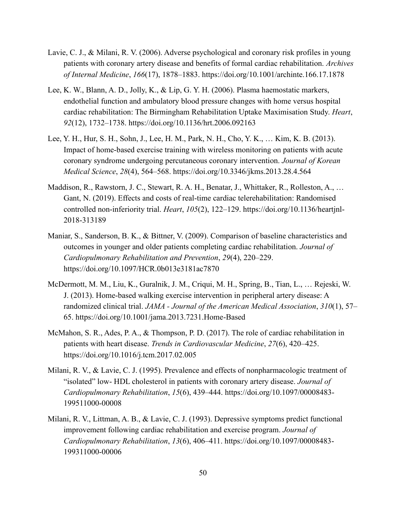- Lavie, C. J., & Milani, R. V. (2006). Adverse psychological and coronary risk profiles in young patients with coronary artery disease and benefits of formal cardiac rehabilitation. *Archives of Internal Medicine*, *166*(17), 1878–1883. https://doi.org/10.1001/archinte.166.17.1878
- Lee, K. W., Blann, A. D., Jolly, K., & Lip, G. Y. H. (2006). Plasma haemostatic markers, endothelial function and ambulatory blood pressure changes with home versus hospital cardiac rehabilitation: The Birmingham Rehabilitation Uptake Maximisation Study. *Heart*, *92*(12), 1732–1738. https://doi.org/10.1136/hrt.2006.092163
- Lee, Y. H., Hur, S. H., Sohn, J., Lee, H. M., Park, N. H., Cho, Y. K., … Kim, K. B. (2013). Impact of home-based exercise training with wireless monitoring on patients with acute coronary syndrome undergoing percutaneous coronary intervention. *Journal of Korean Medical Science*, *28*(4), 564–568. https://doi.org/10.3346/jkms.2013.28.4.564
- Maddison, R., Rawstorn, J. C., Stewart, R. A. H., Benatar, J., Whittaker, R., Rolleston, A., … Gant, N. (2019). Effects and costs of real-time cardiac telerehabilitation: Randomised controlled non-inferiority trial. *Heart*, *105*(2), 122–129. https://doi.org/10.1136/heartjnl-2018-313189
- Maniar, S., Sanderson, B. K., & Bittner, V. (2009). Comparison of baseline characteristics and outcomes in younger and older patients completing cardiac rehabilitation. *Journal of Cardiopulmonary Rehabilitation and Prevention*, *29*(4), 220–229. https://doi.org/10.1097/HCR.0b013e3181ac7870
- McDermott, M. M., Liu, K., Guralnik, J. M., Criqui, M. H., Spring, B., Tian, L., … Rejeski, W. J. (2013). Home-based walking exercise intervention in peripheral artery disease: A randomized clinical trial. *JAMA - Journal of the American Medical Association*, *310*(1), 57– 65. https://doi.org/10.1001/jama.2013.7231.Home-Based
- McMahon, S. R., Ades, P. A., & Thompson, P. D. (2017). The role of cardiac rehabilitation in patients with heart disease. *Trends in Cardiovascular Medicine*, *27*(6), 420–425. https://doi.org/10.1016/j.tcm.2017.02.005
- Milani, R. V., & Lavie, C. J. (1995). Prevalence and effects of nonpharmacologic treatment of "isolated" low- HDL cholesterol in patients with coronary artery disease. *Journal of Cardiopulmonary Rehabilitation*, *15*(6), 439–444. https://doi.org/10.1097/00008483- 199511000-00008
- Milani, R. V., Littman, A. B., & Lavie, C. J. (1993). Depressive symptoms predict functional improvement following cardiac rehabilitation and exercise program. *Journal of Cardiopulmonary Rehabilitation*, *13*(6), 406–411. https://doi.org/10.1097/00008483- 199311000-00006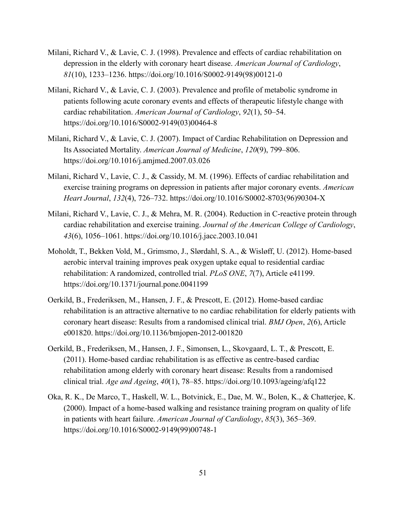- Milani, Richard V., & Lavie, C. J. (1998). Prevalence and effects of cardiac rehabilitation on depression in the elderly with coronary heart disease. *American Journal of Cardiology*, *81*(10), 1233–1236. https://doi.org/10.1016/S0002-9149(98)00121-0
- Milani, Richard V., & Lavie, C. J. (2003). Prevalence and profile of metabolic syndrome in patients following acute coronary events and effects of therapeutic lifestyle change with cardiac rehabilitation. *American Journal of Cardiology*, *92*(1), 50–54. https://doi.org/10.1016/S0002-9149(03)00464-8
- Milani, Richard V., & Lavie, C. J. (2007). Impact of Cardiac Rehabilitation on Depression and Its Associated Mortality. *American Journal of Medicine*, *120*(9), 799–806. https://doi.org/10.1016/j.amjmed.2007.03.026
- Milani, Richard V., Lavie, C. J., & Cassidy, M. M. (1996). Effects of cardiac rehabilitation and exercise training programs on depression in patients after major coronary events. *American Heart Journal*, *132*(4), 726–732. https://doi.org/10.1016/S0002-8703(96)90304-X
- Milani, Richard V., Lavie, C. J., & Mehra, M. R. (2004). Reduction in C-reactive protein through cardiac rehabilitation and exercise training. *Journal of the American College of Cardiology*, *43*(6), 1056–1061. https://doi.org/10.1016/j.jacc.2003.10.041
- Moholdt, T., Bekken Vold, M., Grimsmo, J., Slørdahl, S. A., & Wisløff, U. (2012). Home-based aerobic interval training improves peak oxygen uptake equal to residential cardiac rehabilitation: A randomized, controlled trial. *PLoS ONE*, *7*(7), Article e41199. https://doi.org/10.1371/journal.pone.0041199
- Oerkild, B., Frederiksen, M., Hansen, J. F., & Prescott, E. (2012). Home-based cardiac rehabilitation is an attractive alternative to no cardiac rehabilitation for elderly patients with coronary heart disease: Results from a randomised clinical trial. *BMJ Open*, *2*(6), Article e001820. https://doi.org/10.1136/bmjopen-2012-001820
- Oerkild, B., Frederiksen, M., Hansen, J. F., Simonsen, L., Skovgaard, L. T., & Prescott, E. (2011). Home-based cardiac rehabilitation is as effective as centre-based cardiac rehabilitation among elderly with coronary heart disease: Results from a randomised clinical trial. *Age and Ageing*, *40*(1), 78–85. https://doi.org/10.1093/ageing/afq122
- Oka, R. K., De Marco, T., Haskell, W. L., Botvinick, E., Dae, M. W., Bolen, K., & Chatterjee, K. (2000). Impact of a home-based walking and resistance training program on quality of life in patients with heart failure. *American Journal of Cardiology*, *85*(3), 365–369. https://doi.org/10.1016/S0002-9149(99)00748-1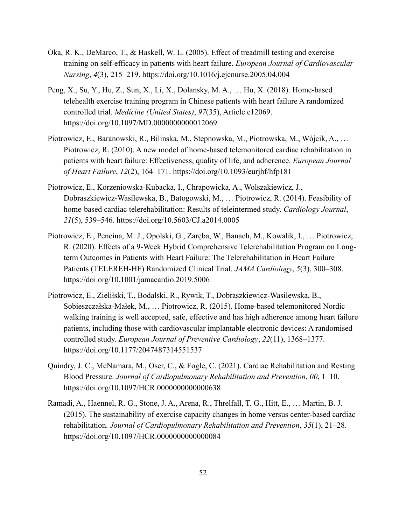- Oka, R. K., DeMarco, T., & Haskell, W. L. (2005). Effect of treadmill testing and exercise training on self-efficacy in patients with heart failure. *European Journal of Cardiovascular Nursing*, *4*(3), 215–219. https://doi.org/10.1016/j.ejcnurse.2005.04.004
- Peng, X., Su, Y., Hu, Z., Sun, X., Li, X., Dolansky, M. A., … Hu, X. (2018). Home-based telehealth exercise training program in Chinese patients with heart failure A randomized controlled trial. *Medicine (United States)*, *97*(35), Article e12069. https://doi.org/10.1097/MD.0000000000012069
- Piotrowicz, E., Baranowski, R., Bilinska, M., Stepnowska, M., Piotrowska, M., Wójcik, A., … Piotrowicz, R. (2010). A new model of home-based telemonitored cardiac rehabilitation in patients with heart failure: Effectiveness, quality of life, and adherence. *European Journal of Heart Failure*, *12*(2), 164–171. https://doi.org/10.1093/eurjhf/hfp181
- Piotrowicz, E., Korzeniowska-Kubacka, I., Chrapowicka, A., Wolszakiewicz, J., Dobraszkiewicz-Wasilewska, B., Batogowski, M., … Piotrowicz, R. (2014). Feasibility of home-based cardiac telerehabilitation: Results of teleintermed study. *Cardiology Journal*, *21*(5), 539–546. https://doi.org/10.5603/CJ.a2014.0005
- Piotrowicz, E., Pencina, M. J., Opolski, G., Zaręba, W., Banach, M., Kowalik, I., ... Piotrowicz, R. (2020). Effects of a 9-Week Hybrid Comprehensive Telerehabilitation Program on Longterm Outcomes in Patients with Heart Failure: The Telerehabilitation in Heart Failure Patients (TELEREH-HF) Randomized Clinical Trial. *JAMA Cardiology*, *5*(3), 300–308. https://doi.org/10.1001/jamacardio.2019.5006
- Piotrowicz, E., Zieliłski, T., Bodalski, R., Rywik, T., Dobraszkiewicz-Wasilewska, B., Sobieszczałska-Małek, M., … Piotrowicz, R. (2015). Home-based telemonitored Nordic walking training is well accepted, safe, effective and has high adherence among heart failure patients, including those with cardiovascular implantable electronic devices: A randomised controlled study. *European Journal of Preventive Cardiology*, *22*(11), 1368–1377. https://doi.org/10.1177/2047487314551537
- Quindry, J. C., McNamara, M., Oser, C., & Fogle, C. (2021). Cardiac Rehabilitation and Resting Blood Pressure. *Journal of Cardiopulmonary Rehabilitation and Prevention*, *00*, 1–10. https://doi.org/10.1097/HCR.0000000000000638
- Ramadi, A., Haennel, R. G., Stone, J. A., Arena, R., Threlfall, T. G., Hitt, E., … Martin, B. J. (2015). The sustainability of exercise capacity changes in home versus center-based cardiac rehabilitation. *Journal of Cardiopulmonary Rehabilitation and Prevention*, *35*(1), 21–28. https://doi.org/10.1097/HCR.0000000000000084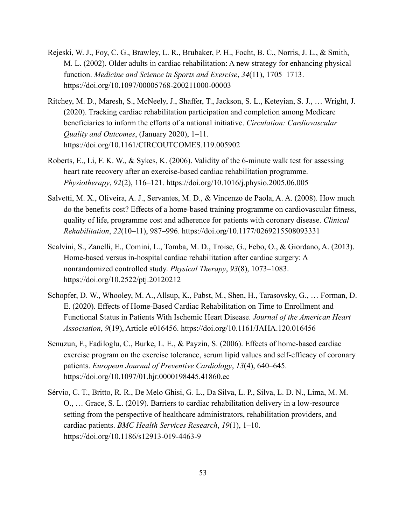- Rejeski, W. J., Foy, C. G., Brawley, L. R., Brubaker, P. H., Focht, B. C., Norris, J. L., & Smith, M. L. (2002). Older adults in cardiac rehabilitation: A new strategy for enhancing physical function. *Medicine and Science in Sports and Exercise*, *34*(11), 1705–1713. https://doi.org/10.1097/00005768-200211000-00003
- Ritchey, M. D., Maresh, S., McNeely, J., Shaffer, T., Jackson, S. L., Keteyian, S. J., … Wright, J. (2020). Tracking cardiac rehabilitation participation and completion among Medicare beneficiaries to inform the efforts of a national initiative. *Circulation: Cardiovascular Quality and Outcomes*, (January 2020), 1–11. https://doi.org/10.1161/CIRCOUTCOMES.119.005902
- Roberts, E., Li, F. K. W., & Sykes, K. (2006). Validity of the 6-minute walk test for assessing heart rate recovery after an exercise-based cardiac rehabilitation programme. *Physiotherapy*, *92*(2), 116–121. https://doi.org/10.1016/j.physio.2005.06.005
- Salvetti, M. X., Oliveira, A. J., Servantes, M. D., & Vincenzo de Paola, A. A. (2008). How much do the benefits cost? Effects of a home-based training programme on cardiovascular fitness, quality of life, programme cost and adherence for patients with coronary disease. *Clinical Rehabilitation*, *22*(10–11), 987–996. https://doi.org/10.1177/0269215508093331
- Scalvini, S., Zanelli, E., Comini, L., Tomba, M. D., Troise, G., Febo, O., & Giordano, A. (2013). Home-based versus in-hospital cardiac rehabilitation after cardiac surgery: A nonrandomized controlled study. *Physical Therapy*, *93*(8), 1073–1083. https://doi.org/10.2522/ptj.20120212
- Schopfer, D. W., Whooley, M. A., Allsup, K., Pabst, M., Shen, H., Tarasovsky, G., … Forman, D. E. (2020). Effects of Home-Based Cardiac Rehabilitation on Time to Enrollment and Functional Status in Patients With Ischemic Heart Disease. *Journal of the American Heart Association*, *9*(19), Article e016456. https://doi.org/10.1161/JAHA.120.016456
- Senuzun, F., Fadiloglu, C., Burke, L. E., & Payzin, S. (2006). Effects of home-based cardiac exercise program on the exercise tolerance, serum lipid values and self-efficacy of coronary patients. *European Journal of Preventive Cardiology*, *13*(4), 640–645. https://doi.org/10.1097/01.hjr.0000198445.41860.ec
- Sérvio, C. T., Britto, R. R., De Melo Ghisi, G. L., Da Silva, L. P., Silva, L. D. N., Lima, M. M. O., … Grace, S. L. (2019). Barriers to cardiac rehabilitation delivery in a low-resource setting from the perspective of healthcare administrators, rehabilitation providers, and cardiac patients. *BMC Health Services Research*, *19*(1), 1–10. https://doi.org/10.1186/s12913-019-4463-9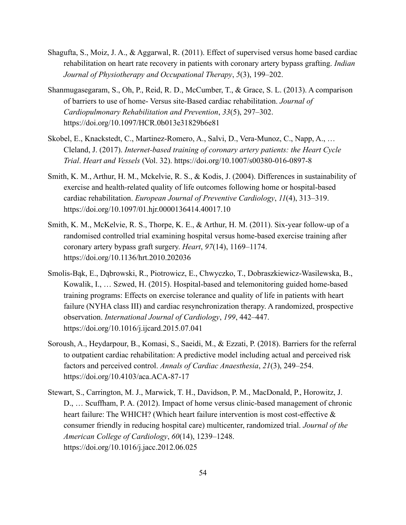- Shagufta, S., Moiz, J. A., & Aggarwal, R. (2011). Effect of supervised versus home based cardiac rehabilitation on heart rate recovery in patients with coronary artery bypass grafting. *Indian Journal of Physiotherapy and Occupational Therapy*, *5*(3), 199–202.
- Shanmugasegaram, S., Oh, P., Reid, R. D., McCumber, T., & Grace, S. L. (2013). A comparison of barriers to use of home- Versus site-Based cardiac rehabilitation. *Journal of Cardiopulmonary Rehabilitation and Prevention*, *33*(5), 297–302. https://doi.org/10.1097/HCR.0b013e31829b6e81
- Skobel, E., Knackstedt, C., Martinez-Romero, A., Salvi, D., Vera-Munoz, C., Napp, A., … Cleland, J. (2017). *Internet-based training of coronary artery patients: the Heart Cycle Trial*. *Heart and Vessels* (Vol. 32). https://doi.org/10.1007/s00380-016-0897-8
- Smith, K. M., Arthur, H. M., Mckelvie, R. S., & Kodis, J. (2004). Differences in sustainability of exercise and health-related quality of life outcomes following home or hospital-based cardiac rehabilitation. *European Journal of Preventive Cardiology*, *11*(4), 313–319. https://doi.org/10.1097/01.hjr.0000136414.40017.10
- Smith, K. M., McKelvie, R. S., Thorpe, K. E., & Arthur, H. M. (2011). Six-year follow-up of a randomised controlled trial examining hospital versus home-based exercise training after coronary artery bypass graft surgery. *Heart*, *97*(14), 1169–1174. https://doi.org/10.1136/hrt.2010.202036
- Smolis-Bąk, E., Dąbrowski, R., Piotrowicz, E., Chwyczko, T., Dobraszkiewicz-Wasilewska, B., Kowalik, I., … Szwed, H. (2015). Hospital-based and telemonitoring guided home-based training programs: Effects on exercise tolerance and quality of life in patients with heart failure (NYHA class III) and cardiac resynchronization therapy. A randomized, prospective observation. *International Journal of Cardiology*, *199*, 442–447. https://doi.org/10.1016/j.ijcard.2015.07.041
- Soroush, A., Heydarpour, B., Komasi, S., Saeidi, M., & Ezzati, P. (2018). Barriers for the referral to outpatient cardiac rehabilitation: A predictive model including actual and perceived risk factors and perceived control. *Annals of Cardiac Anaesthesia*, *21*(3), 249–254. https://doi.org/10.4103/aca.ACA-87-17
- Stewart, S., Carrington, M. J., Marwick, T. H., Davidson, P. M., MacDonald, P., Horowitz, J. D., … Scuffham, P. A. (2012). Impact of home versus clinic-based management of chronic heart failure: The WHICH? (Which heart failure intervention is most cost-effective & consumer friendly in reducing hospital care) multicenter, randomized trial. *Journal of the American College of Cardiology*, *60*(14), 1239–1248. https://doi.org/10.1016/j.jacc.2012.06.025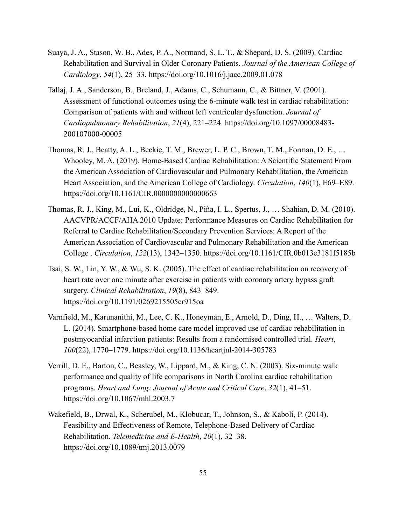- Suaya, J. A., Stason, W. B., Ades, P. A., Normand, S. L. T., & Shepard, D. S. (2009). Cardiac Rehabilitation and Survival in Older Coronary Patients. *Journal of the American College of Cardiology*, *54*(1), 25–33. https://doi.org/10.1016/j.jacc.2009.01.078
- Tallaj, J. A., Sanderson, B., Breland, J., Adams, C., Schumann, C., & Bittner, V. (2001). Assessment of functional outcomes using the 6-minute walk test in cardiac rehabilitation: Comparison of patients with and without left ventricular dysfunction. *Journal of Cardiopulmonary Rehabilitation*, *21*(4), 221–224. https://doi.org/10.1097/00008483- 200107000-00005
- Thomas, R. J., Beatty, A. L., Beckie, T. M., Brewer, L. P. C., Brown, T. M., Forman, D. E., … Whooley, M. A. (2019). Home-Based Cardiac Rehabilitation: A Scientific Statement From the American Association of Cardiovascular and Pulmonary Rehabilitation, the American Heart Association, and the American College of Cardiology. *Circulation*, *140*(1), E69–E89. https://doi.org/10.1161/CIR.0000000000000663
- Thomas, R. J., King, M., Lui, K., Oldridge, N., Piña, I. L., Spertus, J., … Shahian, D. M. (2010). AACVPR/ACCF/AHA 2010 Update: Performance Measures on Cardiac Rehabilitation for Referral to Cardiac Rehabilitation/Secondary Prevention Services: A Report of the American Association of Cardiovascular and Pulmonary Rehabilitation and the American College . *Circulation*, *122*(13), 1342–1350. https://doi.org/10.1161/CIR.0b013e3181f5185b
- Tsai, S. W., Lin, Y. W., & Wu, S. K. (2005). The effect of cardiac rehabilitation on recovery of heart rate over one minute after exercise in patients with coronary artery bypass graft surgery. *Clinical Rehabilitation*, *19*(8), 843–849. https://doi.org/10.1191/0269215505cr915oa
- Varnfield, M., Karunanithi, M., Lee, C. K., Honeyman, E., Arnold, D., Ding, H., … Walters, D. L. (2014). Smartphone-based home care model improved use of cardiac rehabilitation in postmyocardial infarction patients: Results from a randomised controlled trial. *Heart*, *100*(22), 1770–1779. https://doi.org/10.1136/heartjnl-2014-305783
- Verrill, D. E., Barton, C., Beasley, W., Lippard, M., & King, C. N. (2003). Six-minute walk performance and quality of life comparisons in North Carolina cardiac rehabilitation programs. *Heart and Lung: Journal of Acute and Critical Care*, *32*(1), 41–51. https://doi.org/10.1067/mhl.2003.7
- Wakefield, B., Drwal, K., Scherubel, M., Klobucar, T., Johnson, S., & Kaboli, P. (2014). Feasibility and Effectiveness of Remote, Telephone-Based Delivery of Cardiac Rehabilitation. *Telemedicine and E-Health*, *20*(1), 32–38. https://doi.org/10.1089/tmj.2013.0079